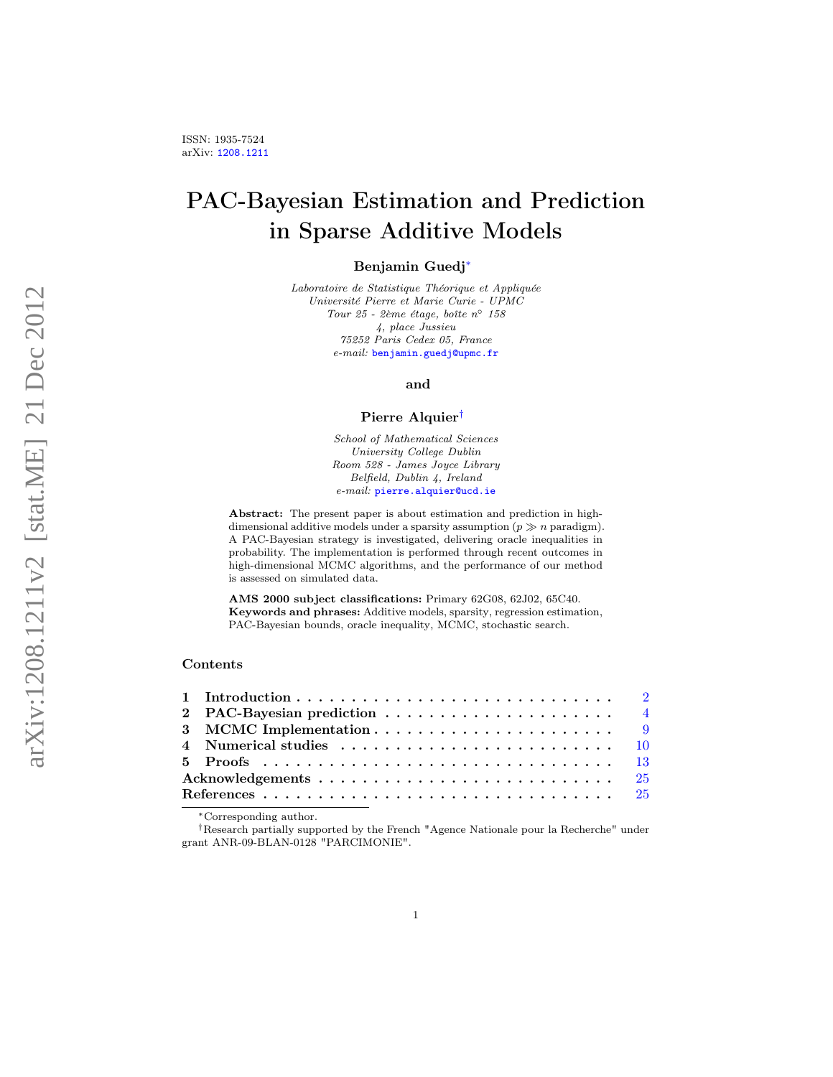# PAC-Bayesian Estimation and Prediction in Sparse Additive Models

# Benjamin Guedj[∗](#page-0-0)

Laboratoire de Statistique Théorique et Appliquée Université Pierre et Marie Curie - UPMC Tour 25 - 2ème étage, boîte n◦ 158 4, place Jussieu 75252 Paris Cedex 05, France e-mail: [benjamin.guedj@upmc.fr](mailto:benjamin.guedj@upmc.fr)

and

#### Pierre Alquier[†](#page-0-1)

School of Mathematical Sciences University College Dublin Room 528 - James Joyce Library Belfield, Dublin 4, Ireland e-mail: [pierre.alquier@ucd.ie](mailto:pierre.alquier@ucd.ie)

Abstract: The present paper is about estimation and prediction in highdimensional additive models under a sparsity assumption  $(p \gg n \text{ paradigm})$ . A PAC-Bayesian strategy is investigated, delivering oracle inequalities in probability. The implementation is performed through recent outcomes in high-dimensional MCMC algorithms, and the performance of our method is assessed on simulated data.

AMS 2000 subject classifications: Primary 62G08, 62J02, 65C40. Keywords and phrases: Additive models, sparsity, regression estimation, PAC-Bayesian bounds, oracle inequality, MCMC, stochastic search.

# Contents

| 2 PAC-Bayesian prediction $\ldots \ldots \ldots \ldots \ldots \ldots \ldots$                         |  |
|------------------------------------------------------------------------------------------------------|--|
|                                                                                                      |  |
| 4 Numerical studies $\ldots \ldots \ldots \ldots \ldots \ldots \ldots \ldots \ldots \ldots \quad 10$ |  |
|                                                                                                      |  |
|                                                                                                      |  |
|                                                                                                      |  |

<span id="page-0-1"></span><span id="page-0-0"></span><sup>∗</sup>Corresponding author.

†Research partially supported by the French "Agence Nationale pour la Recherche" under grant ANR-09-BLAN-0128 "PARCIMONIE".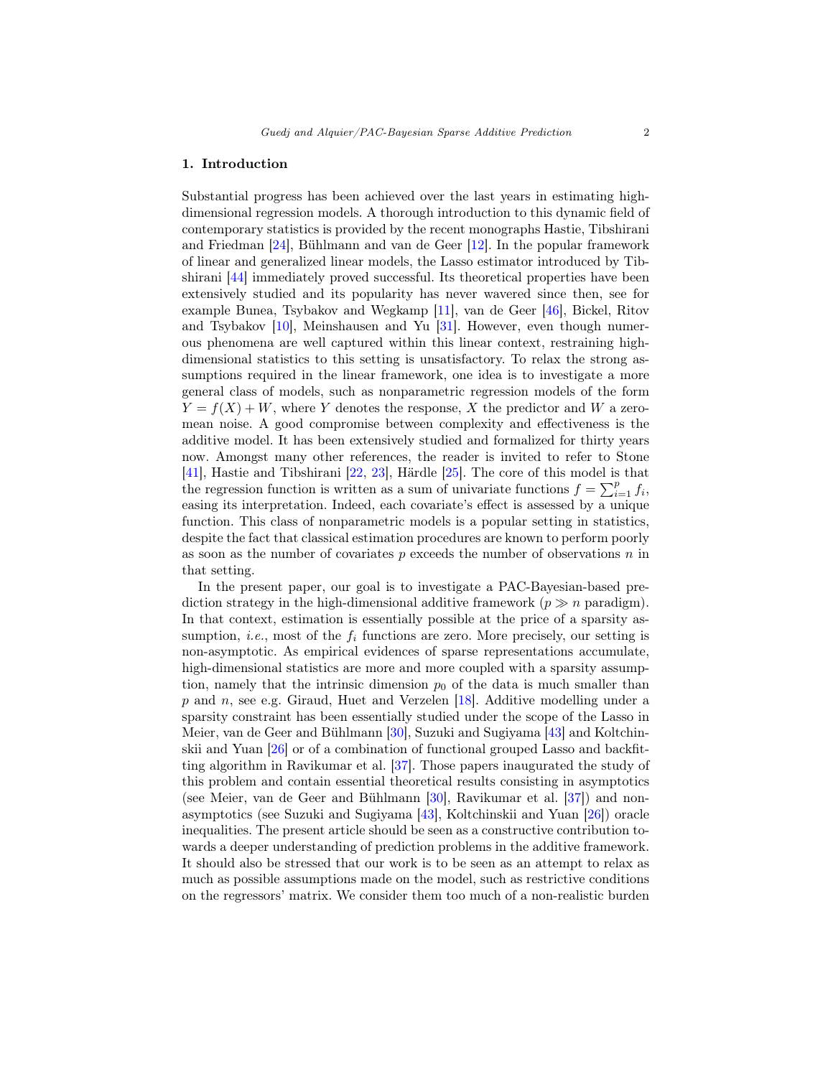#### <span id="page-1-0"></span>1. Introduction

Substantial progress has been achieved over the last years in estimating highdimensional regression models. A thorough introduction to this dynamic field of contemporary statistics is provided by the recent monographs Hastie, Tibshirani and Friedman [\[24\]](#page-25-0), Bühlmann and van de Geer [\[12\]](#page-25-1). In the popular framework of linear and generalized linear models, the Lasso estimator introduced by Tibshirani [\[44\]](#page-26-0) immediately proved successful. Its theoretical properties have been extensively studied and its popularity has never wavered since then, see for example Bunea, Tsybakov and Wegkamp [\[11\]](#page-25-2), van de Geer [\[46\]](#page-26-1), Bickel, Ritov and Tsybakov [\[10\]](#page-25-3), Meinshausen and Yu [\[31\]](#page-26-2). However, even though numerous phenomena are well captured within this linear context, restraining highdimensional statistics to this setting is unsatisfactory. To relax the strong assumptions required in the linear framework, one idea is to investigate a more general class of models, such as nonparametric regression models of the form  $Y = f(X) + W$ , where Y denotes the response, X the predictor and W a zeromean noise. A good compromise between complexity and effectiveness is the additive model. It has been extensively studied and formalized for thirty years now. Amongst many other references, the reader is invited to refer to Stone [\[41\]](#page-26-3), Hastie and Tibshirani [\[22,](#page-25-4) [23\]](#page-25-5), Härdle [\[25\]](#page-25-6). The core of this model is that the regression function is written as a sum of univariate functions  $f = \sum_{i=1}^{p} f_i$ , easing its interpretation. Indeed, each covariate's effect is assessed by a unique function. This class of nonparametric models is a popular setting in statistics, despite the fact that classical estimation procedures are known to perform poorly as soon as the number of covariates  $p$  exceeds the number of observations  $n$  in that setting.

In the present paper, our goal is to investigate a PAC-Bayesian-based prediction strategy in the high-dimensional additive framework ( $p \gg n$  paradigm). In that context, estimation is essentially possible at the price of a sparsity assumption, *i.e.*, most of the  $f_i$  functions are zero. More precisely, our setting is non-asymptotic. As empirical evidences of sparse representations accumulate, high-dimensional statistics are more and more coupled with a sparsity assumption, namely that the intrinsic dimension  $p_0$  of the data is much smaller than  $p$  and  $n$ , see e.g. Giraud, Huet and Verzelen [\[18\]](#page-25-7). Additive modelling under a sparsity constraint has been essentially studied under the scope of the Lasso in Meier, van de Geer and Bühlmann [\[30\]](#page-26-4), Suzuki and Sugiyama [\[43\]](#page-26-5) and Koltchinskii and Yuan [\[26\]](#page-25-8) or of a combination of functional grouped Lasso and backfitting algorithm in Ravikumar et al. [\[37\]](#page-26-6). Those papers inaugurated the study of this problem and contain essential theoretical results consisting in asymptotics (see Meier, van de Geer and Bühlmann [\[30\]](#page-26-4), Ravikumar et al. [\[37\]](#page-26-6)) and nonasymptotics (see Suzuki and Sugiyama [\[43\]](#page-26-5), Koltchinskii and Yuan [\[26\]](#page-25-8)) oracle inequalities. The present article should be seen as a constructive contribution towards a deeper understanding of prediction problems in the additive framework. It should also be stressed that our work is to be seen as an attempt to relax as much as possible assumptions made on the model, such as restrictive conditions on the regressors' matrix. We consider them too much of a non-realistic burden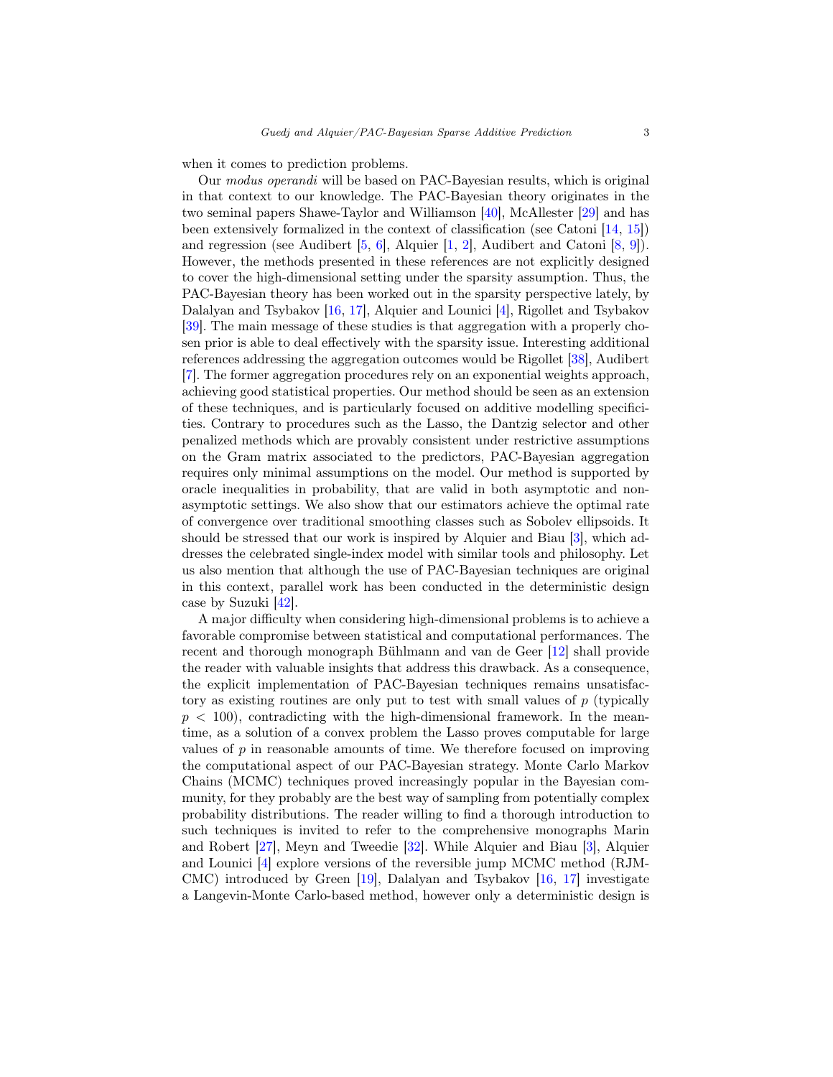when it comes to prediction problems.

Our modus operandi will be based on PAC-Bayesian results, which is original in that context to our knowledge. The PAC-Bayesian theory originates in the two seminal papers Shawe-Taylor and Williamson [\[40\]](#page-26-7), McAllester [\[29\]](#page-26-8) and has been extensively formalized in the context of classification (see Catoni [\[14,](#page-25-9) [15\]](#page-25-10)) and regression (see Audibert [\[5,](#page-24-2) [6\]](#page-24-3), Alquier [\[1,](#page-24-4) [2\]](#page-24-5), Audibert and Catoni [\[8,](#page-24-6) [9\]](#page-25-11)). However, the methods presented in these references are not explicitly designed to cover the high-dimensional setting under the sparsity assumption. Thus, the PAC-Bayesian theory has been worked out in the sparsity perspective lately, by Dalalyan and Tsybakov [\[16,](#page-25-12) [17\]](#page-25-13), Alquier and Lounici [\[4\]](#page-24-7), Rigollet and Tsybakov [\[39\]](#page-26-9). The main message of these studies is that aggregation with a properly chosen prior is able to deal effectively with the sparsity issue. Interesting additional references addressing the aggregation outcomes would be Rigollet [\[38\]](#page-26-10), Audibert [\[7\]](#page-24-8). The former aggregation procedures rely on an exponential weights approach, achieving good statistical properties. Our method should be seen as an extension of these techniques, and is particularly focused on additive modelling specificities. Contrary to procedures such as the Lasso, the Dantzig selector and other penalized methods which are provably consistent under restrictive assumptions on the Gram matrix associated to the predictors, PAC-Bayesian aggregation requires only minimal assumptions on the model. Our method is supported by oracle inequalities in probability, that are valid in both asymptotic and nonasymptotic settings. We also show that our estimators achieve the optimal rate of convergence over traditional smoothing classes such as Sobolev ellipsoids. It should be stressed that our work is inspired by Alquier and Biau [\[3\]](#page-24-9), which addresses the celebrated single-index model with similar tools and philosophy. Let us also mention that although the use of PAC-Bayesian techniques are original in this context, parallel work has been conducted in the deterministic design case by Suzuki [\[42\]](#page-26-11).

A major difficulty when considering high-dimensional problems is to achieve a favorable compromise between statistical and computational performances. The recent and thorough monograph Bühlmann and van de Geer [\[12\]](#page-25-1) shall provide the reader with valuable insights that address this drawback. As a consequence, the explicit implementation of PAC-Bayesian techniques remains unsatisfactory as existing routines are only put to test with small values of p (typically  $p < 100$ , contradicting with the high-dimensional framework. In the meantime, as a solution of a convex problem the Lasso proves computable for large values of  $p$  in reasonable amounts of time. We therefore focused on improving the computational aspect of our PAC-Bayesian strategy. Monte Carlo Markov Chains (MCMC) techniques proved increasingly popular in the Bayesian community, for they probably are the best way of sampling from potentially complex probability distributions. The reader willing to find a thorough introduction to such techniques is invited to refer to the comprehensive monographs Marin and Robert [\[27\]](#page-26-12), Meyn and Tweedie [\[32\]](#page-26-13). While Alquier and Biau [\[3\]](#page-24-9), Alquier and Lounici [\[4\]](#page-24-7) explore versions of the reversible jump MCMC method (RJM-CMC) introduced by Green [\[19\]](#page-25-14), Dalalyan and Tsybakov [\[16,](#page-25-12) [17\]](#page-25-13) investigate a Langevin-Monte Carlo-based method, however only a deterministic design is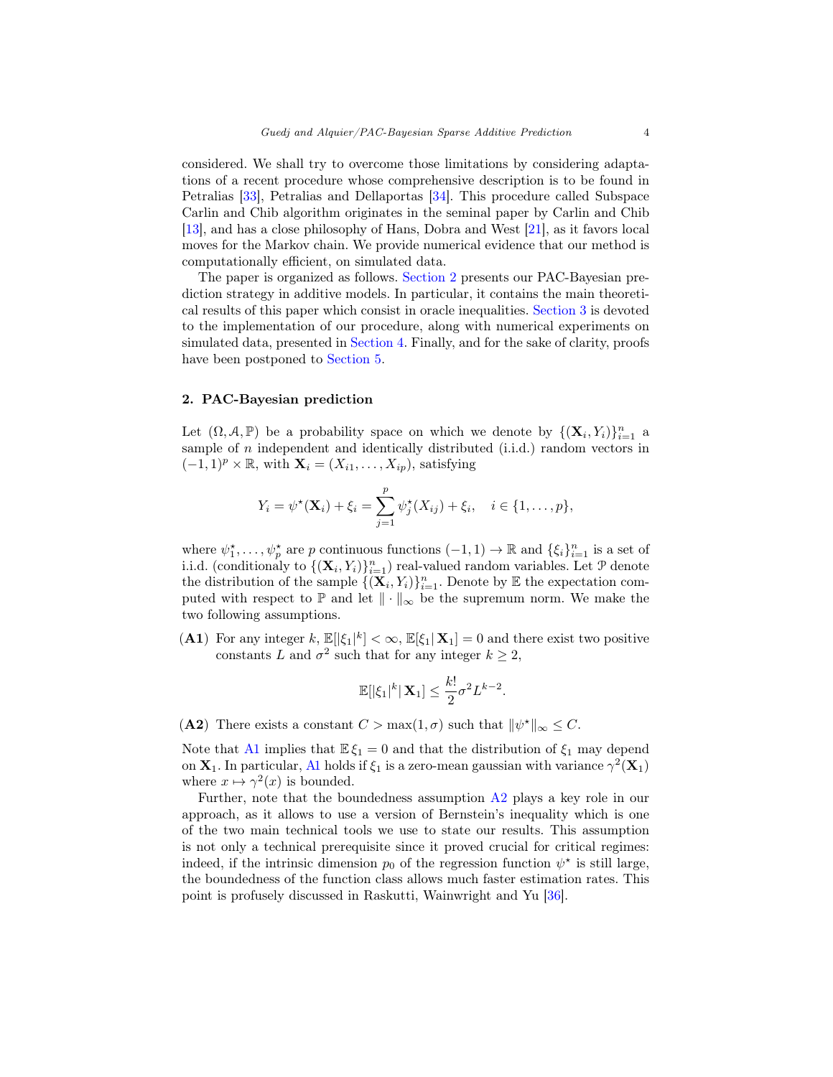considered. We shall try to overcome those limitations by considering adaptations of a recent procedure whose comprehensive description is to be found in Petralias [\[33\]](#page-26-14), Petralias and Dellaportas [\[34\]](#page-26-15). This procedure called Subspace Carlin and Chib algorithm originates in the seminal paper by Carlin and Chib [\[13\]](#page-25-15), and has a close philosophy of Hans, Dobra and West [\[21\]](#page-25-16), as it favors local moves for the Markov chain. We provide numerical evidence that our method is computationally efficient, on simulated data.

The paper is organized as follows. [Section 2](#page-3-0) presents our PAC-Bayesian prediction strategy in additive models. In particular, it contains the main theoretical results of this paper which consist in oracle inequalities. [Section 3](#page-8-0) is devoted to the implementation of our procedure, along with numerical experiments on simulated data, presented in [Section 4.](#page-9-0) Finally, and for the sake of clarity, proofs have been postponed to [Section 5.](#page-12-0)

# <span id="page-3-0"></span>2. PAC-Bayesian prediction

Let  $(\Omega, \mathcal{A}, \mathbb{P})$  be a probability space on which we denote by  $\{(\mathbf{X}_i, Y_i)\}_{i=1}^n$  a sample of  $n$  independent and identically distributed (i.i.d.) random vectors in  $(-1, 1)^p \times \mathbb{R}$ , with  $\mathbf{X}_i = (X_{i1}, \dots, X_{ip})$ , satisfying

$$
Y_i = \psi^{\star}(\mathbf{X}_i) + \xi_i = \sum_{j=1}^p \psi_j^{\star}(X_{ij}) + \xi_i, \quad i \in \{1, ..., p\},
$$

where  $\psi_1^*, \ldots, \psi_p^*$  are p continuous functions  $(-1, 1) \to \mathbb{R}$  and  $\{\xi_i\}_{i=1}^n$  is a set of i.i.d. (conditionaly to  $\{(\mathbf{X}_i, Y_i)\}_{i=1}^n$ ) real-valued random variables. Let  $P$  denote the distribution of the sample  $\{(\mathbf{X}_i, Y_i)\}_{i=1}^n$ . Denote by  $\mathbb E$  the expectation computed with respect to  $\mathbb P$  and let  $\|\cdot\|_{\infty}$  be the supremum norm. We make the two following assumptions.

(A1) For any integer k,  $\mathbb{E}[\xi_1|^k] < \infty$ ,  $\mathbb{E}[\xi_1|\mathbf{X}_1] = 0$  and there exist two positive constants L and  $\sigma^2$  such that for any integer  $k \geq 2$ ,

<span id="page-3-1"></span>
$$
\mathbb{E}[|\xi_1|^k|\mathbf{X}_1] \leq \frac{k!}{2}\sigma^2 L^{k-2}.
$$

<span id="page-3-2"></span>(A2) There exists a constant  $C > \max(1, \sigma)$  such that  $\|\psi^*\|_{\infty} \leq C$ .

Note that [A1](#page-3-1) implies that  $\mathbb{E}\xi_1 = 0$  and that the distribution of  $\xi_1$  may depend on  $X_1$ . In particular, [A1](#page-3-1) holds if  $\xi_1$  is a zero-mean gaussian with variance  $\gamma^2(X_1)$ where  $x \mapsto \gamma^2(x)$  is bounded.

Further, note that the boundedness assumption [A2](#page-3-2) plays a key role in our approach, as it allows to use a version of Bernstein's inequality which is one of the two main technical tools we use to state our results. This assumption is not only a technical prerequisite since it proved crucial for critical regimes: indeed, if the intrinsic dimension  $p_0$  of the regression function  $\psi^*$  is still large, the boundedness of the function class allows much faster estimation rates. This point is profusely discussed in Raskutti, Wainwright and Yu [\[36\]](#page-26-16).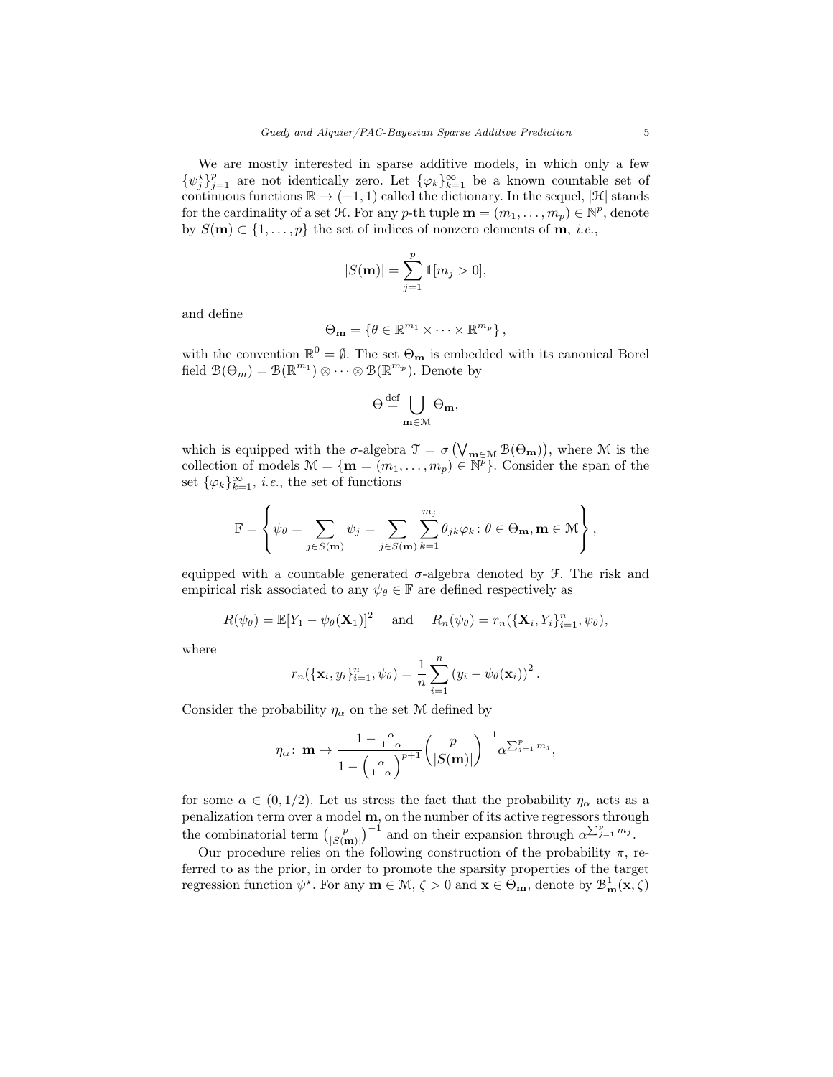We are mostly interested in sparse additive models, in which only a few  $\{\psi_j^{\star}\}_{j=1}^p$  are not identically zero. Let  $\{\varphi_k\}_{k=1}^{\infty}$  be a known countable set of continuous functions  $\mathbb{R} \to (-1,1)$  called the dictionary. In the sequel,  $|\mathcal{H}|$  stands for the cardinality of a set  $\mathcal{H}$ . For any p-th tuple  $\mathbf{m} = (m_1, \ldots, m_p) \in \mathbb{N}^p$ , denote by  $S(\mathbf{m}) \subset \{1, \ldots, p\}$  the set of indices of nonzero elements of **m**, *i.e.*,

$$
|S(\mathbf{m})| = \sum_{j=1}^{p} \mathbb{1}[m_j > 0],
$$

and define

$$
\Theta_{\mathbf{m}} = \{ \theta \in \mathbb{R}^{m_1} \times \cdots \times \mathbb{R}^{m_p} \},
$$

with the convention  $\mathbb{R}^0 = \emptyset$ . The set  $\Theta_{\mathbf{m}}$  is embedded with its canonical Borel field  $\mathcal{B}(\Theta_m) = \mathcal{B}(\mathbb{R}^{m_1}) \otimes \cdots \otimes \mathcal{B}(\mathbb{R}^{m_p})$ . Denote by

$$
\Theta \stackrel{\mathrm{def}}{=} \bigcup_{\mathbf{m} \in \mathcal{M}} \Theta_{\mathbf{m}},
$$

which is equipped with the  $\sigma$ -algebra  $\mathcal{T} = \sigma\left(\bigvee_{\mathbf{m} \in \mathcal{M}} \mathcal{B}(\Theta_{\mathbf{m}})\right)$ , where  $\mathcal M$  is the collection of models  $\mathcal{M} = \{ \mathbf{m} = (m_1, \dots, m_p) \in \mathbb{N}^p \}$ . Consider the span of the set  $\{\varphi_k\}_{k=1}^{\infty}$ , *i.e.*, the set of functions

$$
\mathbb{F} = \left\{ \psi_{\theta} = \sum_{j \in S(\mathbf{m})} \psi_j = \sum_{j \in S(\mathbf{m})} \sum_{k=1}^{m_j} \theta_{jk} \varphi_k : \theta \in \Theta_{\mathbf{m}}, \mathbf{m} \in \mathcal{M} \right\},\
$$

equipped with a countable generated  $\sigma$ -algebra denoted by F. The risk and empirical risk associated to any  $\psi_{\theta} \in \mathbb{F}$  are defined respectively as

$$
R(\psi_{\theta}) = \mathbb{E}[Y_1 - \psi_{\theta}(\mathbf{X}_1)]^2 \quad \text{and} \quad R_n(\psi_{\theta}) = r_n(\{\mathbf{X}_i, Y_i\}_{i=1}^n, \psi_{\theta}),
$$

where

$$
r_n(\{\mathbf{x}_i, y_i\}_{i=1}^n, \psi_{\theta}) = \frac{1}{n} \sum_{i=1}^n (y_i - \psi_{\theta}(\mathbf{x}_i))^2.
$$

Consider the probability  $\eta_{\alpha}$  on the set M defined by

$$
\eta_{\alpha} \colon \mathbf{m} \mapsto \frac{1 - \frac{\alpha}{1 - \alpha}}{1 - \left(\frac{\alpha}{1 - \alpha}\right)^{p+1}} \binom{p}{|S(\mathbf{m})|}^{-1} \alpha^{\sum_{j=1}^{p} m_j},
$$

for some  $\alpha \in (0, 1/2)$ . Let us stress the fact that the probability  $\eta_{\alpha}$  acts as a penalization term over a model m, on the number of its active regressors through the combinatorial term  $\binom{p}{|S(m)|}^{-1}$  and on their expansion through  $\alpha^{\sum_{j=1}^{p}m_j}$ .

Our procedure relies on the following construction of the probability  $\pi$ , referred to as the prior, in order to promote the sparsity properties of the target regression function  $\psi^*$ . For any  $m \in M$ ,  $\zeta > 0$  and  $x \in \Theta_m$ , denote by  $\mathcal{B}_m^1(x, \zeta)$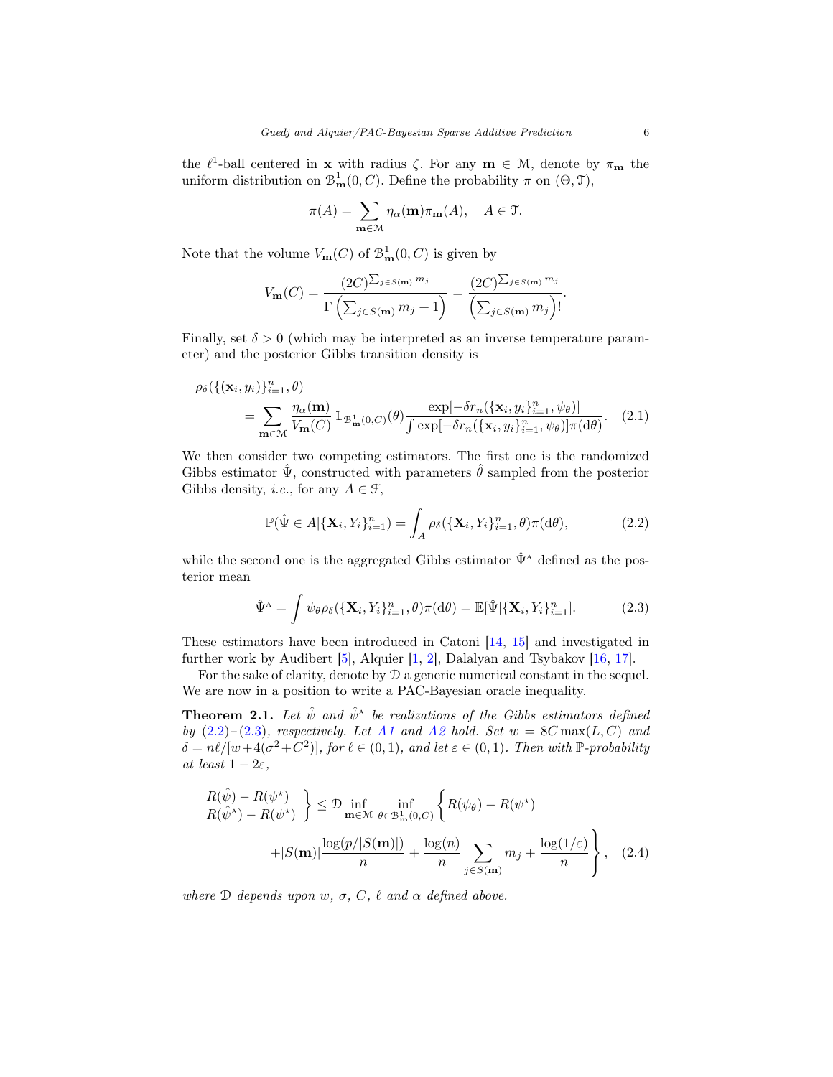the  $\ell^1$ -ball centered in **x** with radius  $\zeta$ . For any **m**  $\in \mathcal{M}$ , denote by  $\pi_{\mathbf{m}}$  the uniform distribution on  $\mathcal{B}_{\mathbf{m}}^1(0, C)$ . Define the probability  $\pi$  on  $(\Theta, \mathcal{T})$ ,

$$
\pi(A) = \sum_{\mathbf{m} \in \mathcal{M}} \eta_{\alpha}(\mathbf{m}) \pi_{\mathbf{m}}(A), \quad A \in \mathfrak{T}.
$$

Note that the volume  $V_{\mathbf{m}}(C)$  of  $\mathcal{B}_{\mathbf{m}}^1(0, C)$  is given by

$$
V_{\mathbf{m}}(C) = \frac{(2C)^{\sum_{j \in S(\mathbf{m})} m_j}}{\Gamma(\sum_{j \in S(\mathbf{m})} m_j + 1)} = \frac{(2C)^{\sum_{j \in S(\mathbf{m})} m_j}}{\left(\sum_{j \in S(\mathbf{m})} m_j\right)!}.
$$

Finally, set  $\delta > 0$  (which may be interpreted as an inverse temperature parameter) and the posterior Gibbs transition density is

$$
\rho_{\delta}(\{(\mathbf{x}_i, y_i)\}_{i=1}^n, \theta) = \sum_{\mathbf{m} \in \mathcal{M}} \frac{\eta_{\alpha}(\mathbf{m})}{V_{\mathbf{m}}(C)} \mathbb{1}_{\mathcal{B}_{\mathbf{m}}^1(0, C)}(\theta) \frac{\exp[-\delta r_n(\{\mathbf{x}_i, y_i\}_{i=1}^n, \psi_{\theta})]}{\int \exp[-\delta r_n(\{\mathbf{x}_i, y_i\}_{i=1}^n, \psi_{\theta})] \pi(\mathrm{d}\theta)}.
$$
 (2.1)

We then consider two competing estimators. The first one is the randomized Gibbs estimator  $\hat{\Psi}$ , constructed with parameters  $\hat{\theta}$  sampled from the posterior Gibbs density, *i.e.*, for any  $A \in \mathcal{F}$ ,

<span id="page-5-0"></span>
$$
\mathbb{P}(\hat{\Psi} \in A | \{\mathbf{X}_i, Y_i\}_{i=1}^n) = \int_A \rho_\delta(\{\mathbf{X}_i, Y_i\}_{i=1}^n, \theta) \pi(\mathrm{d}\theta),\tag{2.2}
$$

while the second one is the aggregated Gibbs estimator  $\hat{\Psi}^{\text{A}}$  defined as the posterior mean

<span id="page-5-1"></span>
$$
\hat{\Psi}^{\mathcal{A}} = \int \psi_{\theta} \rho_{\delta}(\{\mathbf{X}_i, Y_i\}_{i=1}^n, \theta) \pi(\mathrm{d}\theta) = \mathbb{E}[\hat{\Psi}|\{\mathbf{X}_i, Y_i\}_{i=1}^n]. \tag{2.3}
$$

These estimators have been introduced in Catoni [\[14,](#page-25-9) [15\]](#page-25-10) and investigated in further work by Audibert [\[5\]](#page-24-2), Alquier [\[1,](#page-24-4) [2\]](#page-24-5), Dalalyan and Tsybakov [\[16,](#page-25-12) [17\]](#page-25-13).

For the sake of clarity, denote by  $\mathcal D$  a generic numerical constant in the sequel. We are now in a position to write a PAC-Bayesian oracle inequality.

<span id="page-5-2"></span>**Theorem 2.1.** Let  $\hat{\psi}$  and  $\hat{\psi}^{\text{A}}$  be realizations of the Gibbs estimators defined by  $(2.2)$ – $(2.3)$ , respectively. Let [A1](#page-3-1) and [A2](#page-3-2) hold. Set  $w = 8C \max(L, C)$  and  $\delta = n\ell/[w+4(\sigma^2+C^2)]$ , for  $\ell \in (0,1)$ , and let  $\varepsilon \in (0,1)$ . Then with P-probability at least  $1 - 2\varepsilon$ ,

$$
R(\hat{\psi}) - R(\psi^*)
$$
  
\n
$$
R(\hat{\psi}^{\mathsf{A}}) - R(\psi^*)
$$
  
\n
$$
+ |S(\mathbf{m})| \frac{\log(p/|S(\mathbf{m})|)}{n} + \frac{\log(n)}{n} \sum_{j \in S(\mathbf{m})} m_j + \frac{\log(1/\varepsilon)}{n} , \quad (2.4)
$$

where  $\mathcal D$  depends upon w,  $\sigma$ ,  $C$ ,  $\ell$  and  $\alpha$  defined above.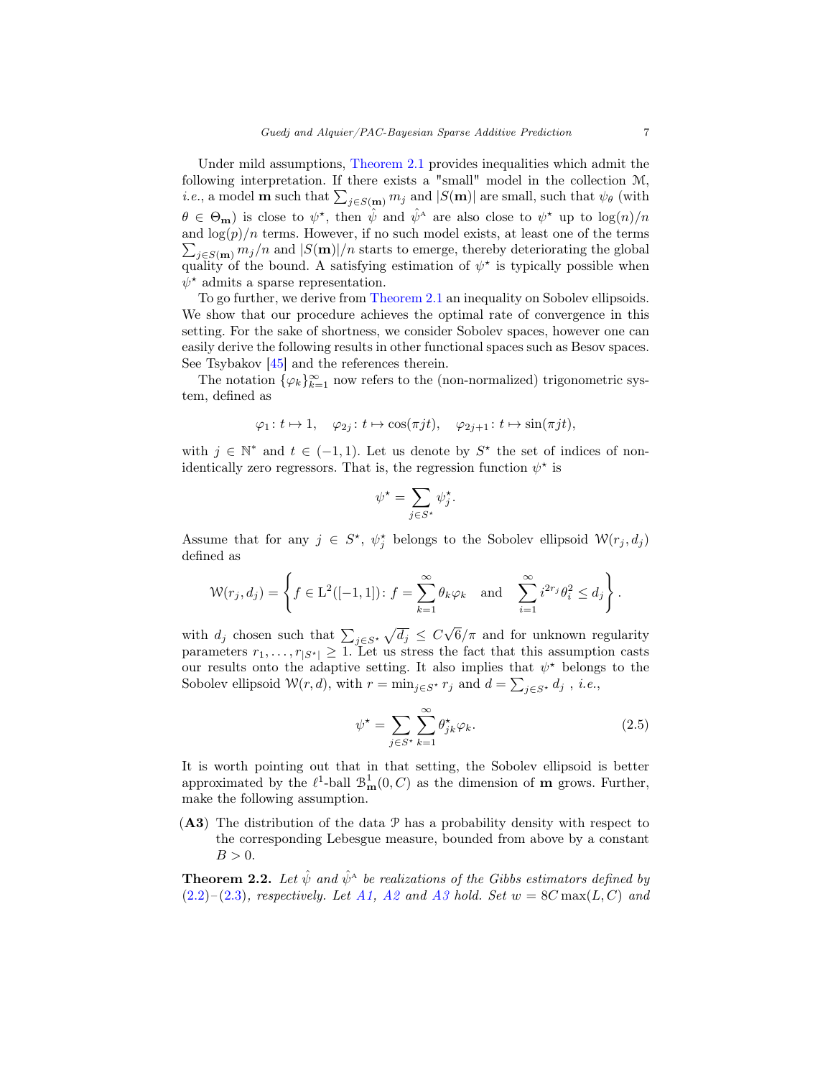Under mild assumptions, [Theorem 2.1](#page-5-2) provides inequalities which admit the following interpretation. If there exists a "small" model in the collection M, *i.e.*, a model **m** such that  $\sum_{j \in S(m)} m_j$  and  $|S(m)|$  are small, such that  $\psi_{\theta}$  (with  $\theta \in \Theta_{\mathbf{m}}$ ) is close to  $\psi^*$ , then  $\hat{\psi}$  and  $\hat{\psi}^{\mathbf{A}}$  are also close to  $\psi^*$  up to  $\log(n)/n$  $\sum_{j \in S(m)} m_j/n$  and  $|S(m)|/n$  starts to emerge, thereby deteriorating the global and  $\log(p)/n$  terms. However, if no such model exists, at least one of the terms quality of the bound. A satisfying estimation of  $\psi^*$  is typically possible when  $\psi^*$  admits a sparse representation.

To go further, we derive from [Theorem 2.1](#page-5-2) an inequality on Sobolev ellipsoids. We show that our procedure achieves the optimal rate of convergence in this setting. For the sake of shortness, we consider Sobolev spaces, however one can easily derive the following results in other functional spaces such as Besov spaces. See Tsybakov [\[45\]](#page-26-17) and the references therein.

The notation  $\{\varphi_k\}_{k=1}^{\infty}$  now refers to the (non-normalized) trigonometric system, defined as

$$
\varphi_1: t \mapsto 1, \quad \varphi_{2j}: t \mapsto \cos(\pi j t), \quad \varphi_{2j+1}: t \mapsto \sin(\pi j t),
$$

with  $j \in \mathbb{N}^*$  and  $t \in (-1,1)$ . Let us denote by  $S^*$  the set of indices of nonidentically zero regressors. That is, the regression function  $\psi^*$  is

$$
\psi^\star = \sum_{j \in S^\star} \psi_j^\star.
$$

Assume that for any  $j \in S^*$ ,  $\psi_j^*$  belongs to the Sobolev ellipsoid  $\mathcal{W}(r_j, d_j)$ defined as

$$
\mathcal{W}(r_j, d_j) = \left\{ f \in \mathcal{L}^2([-1, 1]) : f = \sum_{k=1}^{\infty} \theta_k \varphi_k \text{ and } \sum_{i=1}^{\infty} i^{2r_j} \theta_i^2 \leq d_j \right\}.
$$

with  $d_j$  chosen such that  $\sum_{j \in S^*} \sqrt{d_j} \leq C$ √  $6/\pi$  and for unknown regularity parameters  $r_1, \ldots, r_{|S^*|} \geq 1$ . Let us stress the fact that this assumption casts our results onto the adaptive setting. It also implies that  $\psi^*$  belongs to the Sobolev ellipsoid  $\mathcal{W}(r, d)$ , with  $r = \min_{j \in S^*} r_j$  and  $d = \sum_{j \in S^*} d_j$ , *i.e.*,

<span id="page-6-0"></span>
$$
\psi^* = \sum_{j \in S^*} \sum_{k=1}^{\infty} \theta_{jk}^* \varphi_k.
$$
 (2.5)

It is worth pointing out that in that setting, the Sobolev ellipsoid is better approximated by the  $\ell^1$ -ball  $\mathcal{B}^1_{\mathbf{m}}(0, C)$  as the dimension of **m** grows. Further, make the following assumption.

 $(A3)$  The distribution of the data  $P$  has a probability density with respect to the corresponding Lebesgue measure, bounded from above by a constant  $B > 0$ .

<span id="page-6-1"></span>**Theorem 2.2.** Let  $\hat{\psi}$  and  $\hat{\psi}^{\text{A}}$  be realizations of the Gibbs estimators defined by  $(2.2)$ – $(2.3)$ , respectively. Let [A1,](#page-3-1) [A2](#page-3-2) and [A3](#page-6-0) hold. Set  $w = 8C \max(L, C)$  and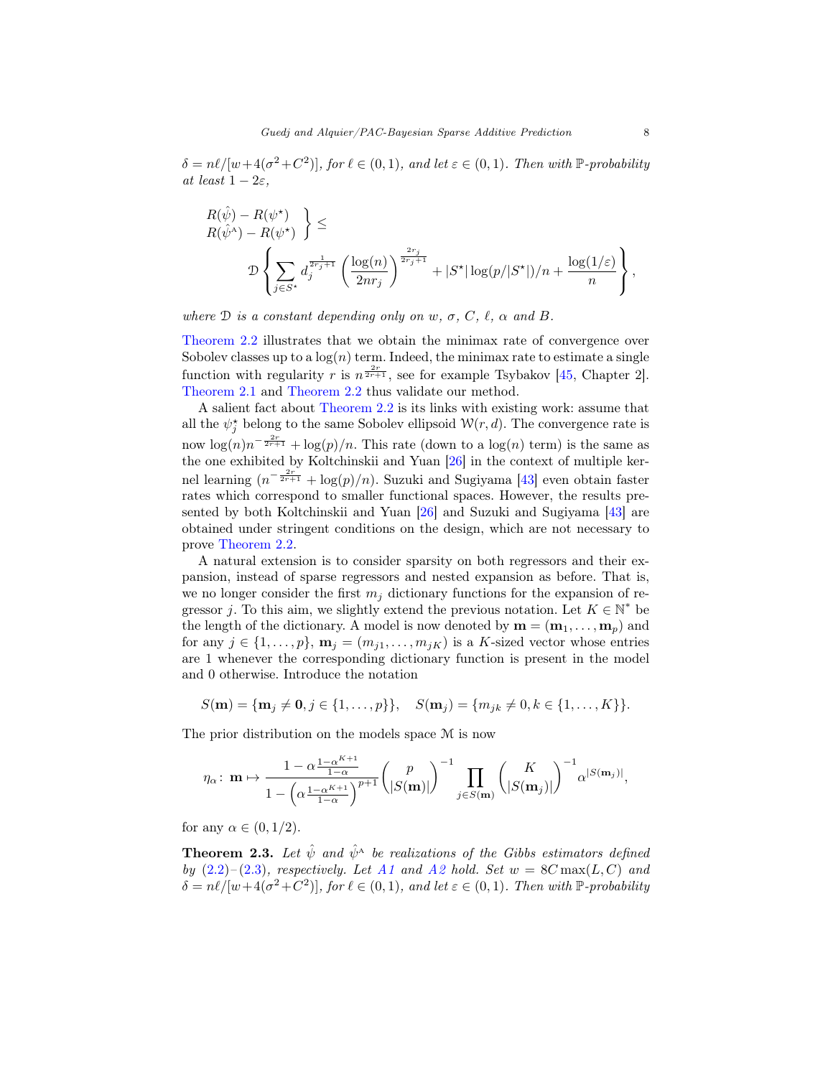$\delta = n\ell/[w+4(\sigma^2+C^2)]$ , for  $\ell \in (0,1)$ , and let  $\varepsilon \in (0,1)$ . Then with P-probability at least  $1 - 2\varepsilon$ ,

$$
\label{eq:R} \begin{split} &R(\hat{\psi})-R(\psi^\star) \atop R(\hat{\psi}^\Lambda)-R(\psi^\star) \end{split} \Bigg\} \leq \\ \mathcal{D} \left\{ \sum_{j \in S^\star} d_j^{\frac{1}{2r_j+1}} \left( \frac{\log(n)}{2nr_j} \right)^{\frac{2r_j}{2r_j+1}} + |S^\star| \log(p/|S^\star|)/n + \frac{\log(1/\varepsilon)}{n} \right\},
$$

where  $\mathcal D$  is a constant depending only on w,  $\sigma$ , C,  $\ell$ ,  $\alpha$  and B.

[Theorem 2.2](#page-6-1) illustrates that we obtain the minimax rate of convergence over Sobolev classes up to a  $log(n)$  term. Indeed, the minimax rate to estimate a single function with regularity r is  $n^{\frac{2r}{2r+1}}$ , see for example Tsybakov [\[45,](#page-26-17) Chapter 2]. [Theorem 2.1](#page-5-2) and [Theorem 2.2](#page-6-1) thus validate our method.

A salient fact about [Theorem 2.2](#page-6-1) is its links with existing work: assume that all the  $\psi_j^*$  belong to the same Sobolev ellipsoid  $\mathcal{W}(r, d)$ . The convergence rate is now  $\log(n)n^{-\frac{2r}{2r+1}} + \log(p)/n$ . This rate (down to a  $\log(n)$  term) is the same as the one exhibited by Koltchinskii and Yuan [\[26\]](#page-25-8) in the context of multiple kernel learning  $(n^{-\frac{2r}{2r+1}} + \log(p)/n)$ . Suzuki and Sugiyama [\[43\]](#page-26-5) even obtain faster rates which correspond to smaller functional spaces. However, the results presented by both Koltchinskii and Yuan [\[26\]](#page-25-8) and Suzuki and Sugiyama [\[43\]](#page-26-5) are obtained under stringent conditions on the design, which are not necessary to prove [Theorem 2.2.](#page-6-1)

A natural extension is to consider sparsity on both regressors and their expansion, instead of sparse regressors and nested expansion as before. That is, we no longer consider the first  $m_i$  dictionary functions for the expansion of regressor j. To this aim, we slightly extend the previous notation. Let  $K \in \mathbb{N}^*$  be the length of the dictionary. A model is now denoted by  $\mathbf{m} = (\mathbf{m}_1, \dots, \mathbf{m}_p)$  and for any  $j \in \{1, \ldots, p\}$ ,  $\mathbf{m}_j = (m_{i1}, \ldots, m_{iK})$  is a K-sized vector whose entries are 1 whenever the corresponding dictionary function is present in the model and 0 otherwise. Introduce the notation

$$
S(\mathbf{m}) = \{\mathbf{m}_j \neq \mathbf{0}, j \in \{1, \ldots, p\}\}, \quad S(\mathbf{m}_j) = \{m_{jk} \neq 0, k \in \{1, \ldots, K\}\}.
$$

The prior distribution on the models space M is now

$$
\eta_{\alpha} \colon \mathbf{m} \mapsto \frac{1 - \alpha^{\frac{1 - \alpha^{K+1}}{1 - \alpha}}}{1 - \left(\alpha^{\frac{1 - \alpha^{K+1}}{1 - \alpha}}\right)^{p+1}} \left(\frac{p}{|S(\mathbf{m})|}\right)^{-1} \prod_{j \in S(\mathbf{m})} \left(\frac{K}{|S(\mathbf{m}_j)|}\right)^{-1} \alpha^{|S(\mathbf{m}_j)|},
$$

for any  $\alpha \in (0, 1/2)$ .

<span id="page-7-0"></span>**Theorem 2.3.** Let  $\hat{\psi}$  and  $\hat{\psi}^{\text{A}}$  be realizations of the Gibbs estimators defined by  $(2.2)$ – $(2.3)$ , respectively. Let [A1](#page-3-1) and [A2](#page-3-2) hold. Set  $w = 8C \max(L, C)$  and  $\delta = n\ell/[w+4(\sigma^2+C^2)]$ , for  $\ell \in (0,1)$ , and let  $\varepsilon \in (0,1)$ . Then with P-probability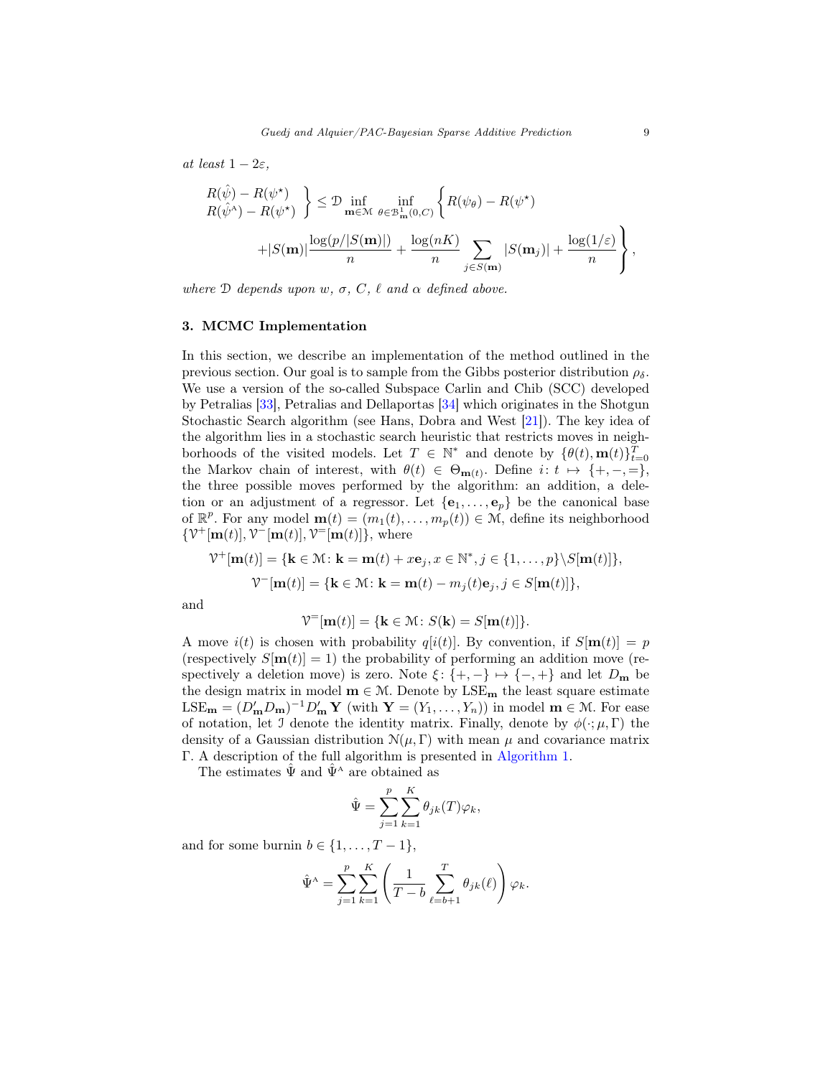at least  $1 - 2\varepsilon$ ,

$$
\begin{aligned} R(\hat{\psi}) - R(\psi^{\star}) &= R(\psi^{\star}) \\ R(\hat{\psi}^{\wedge}) - R(\psi^{\star}) & \end{aligned} \Big\} \leq \mathcal{D} \inf_{\mathbf{m} \in \mathcal{M}} \inf_{\theta \in \mathcal{B}_{\mathbf{m}}^1(0,C)} \left\{ R(\psi_{\theta}) - R(\psi^{\star}) \\ + |S(\mathbf{m})| \frac{\log(p/|S(\mathbf{m})|)}{n} + \frac{\log(nK)}{n} \sum_{j \in S(\mathbf{m})} |S(\mathbf{m}_j)| + \frac{\log(1/\varepsilon)}{n} \right\},
$$

where  $\mathcal D$  depends upon w,  $\sigma$ ,  $C$ ,  $\ell$  and  $\alpha$  defined above.

#### <span id="page-8-0"></span>3. MCMC Implementation

In this section, we describe an implementation of the method outlined in the previous section. Our goal is to sample from the Gibbs posterior distribution  $\rho_{\delta}$ . We use a version of the so-called Subspace Carlin and Chib (SCC) developed by Petralias [\[33\]](#page-26-14), Petralias and Dellaportas [\[34\]](#page-26-15) which originates in the Shotgun Stochastic Search algorithm (see Hans, Dobra and West [\[21\]](#page-25-16)). The key idea of the algorithm lies in a stochastic search heuristic that restricts moves in neighborhoods of the visited models. Let  $T \in \mathbb{N}^*$  and denote by  $\{\theta(t), \mathbf{m}(t)\}_{t=0}^T$ the Markov chain of interest, with  $\theta(t) \in \Theta_{\mathbf{m}(t)}$ . Define  $i: t \mapsto \{+,-,=\},$ the three possible moves performed by the algorithm: an addition, a deletion or an adjustment of a regressor. Let  $\{e_1, \ldots, e_p\}$  be the canonical base of  $\mathbb{R}^p$ . For any model  $\mathbf{m}(t) = (m_1(t), \ldots, m_p(t)) \in \mathcal{M}$ , define its neighborhood  $\{\mathcal{V}^+[\mathbf{m}(t)], \mathcal{V}^-[\mathbf{m}(t)], \mathcal{V}^-[\mathbf{m}(t)]\},\$  where

$$
\mathcal{V}^+[\mathbf{m}(t)] = \{ \mathbf{k} \in \mathcal{M} \colon \mathbf{k} = \mathbf{m}(t) + x\mathbf{e}_j, x \in \mathbb{N}^*, j \in \{1, \dots, p\} \backslash S[\mathbf{m}(t)] \},
$$

$$
\mathcal{V}^-[\mathbf{m}(t)] = \{ \mathbf{k} \in \mathcal{M} \colon \mathbf{k} = \mathbf{m}(t) - m_j(t)\mathbf{e}_j, j \in S[\mathbf{m}(t)] \},
$$

and

$$
\mathcal{V}^=[\mathbf{m}(t)]=\{\mathbf{k}\in\mathcal{M}\colon S(\mathbf{k})=S[\mathbf{m}(t)]\}.
$$

A move  $i(t)$  is chosen with probability  $q[i(t)]$ . By convention, if  $S[\mathbf{m}(t)] = p$ (respectively  $S[\mathbf{m}(t)] = 1$ ) the probability of performing an addition move (respectively a deletion move) is zero. Note  $\xi$ : {+, -}  $\mapsto$  {-, +} and let  $D_m$  be the design matrix in model  $m \in \mathcal{M}$ . Denote by LSE<sub>m</sub> the least square estimate  $\text{LSE}_{\mathbf{m}} = (D'_{\mathbf{m}}D_{\mathbf{m}})^{-1}D'_{\mathbf{m}} \mathbf{Y}$  (with  $\mathbf{Y} = (Y_1, \ldots, Y_n)$ ) in model  $\mathbf{m} \in \mathcal{M}$ . For ease of notation, let J denote the identity matrix. Finally, denote by  $\phi(\cdot;\mu,\Gamma)$  the density of a Gaussian distribution  $\mathcal{N}(\mu, \Gamma)$  with mean  $\mu$  and covariance matrix Γ. A description of the full algorithm is presented in [Algorithm 1.](#page-9-1)

The estimates  $\hat{\Psi}$  and  $\hat{\Psi}^A$  are obtained as

$$
\hat{\Psi} = \sum_{j=1}^{p} \sum_{k=1}^{K} \theta_{jk}(T) \varphi_k,
$$

and for some burnin  $b \in \{1, \ldots, T-1\},\$ 

$$
\hat{\Psi}^{\mathbf{A}} = \sum_{j=1}^{p} \sum_{k=1}^{K} \left( \frac{1}{T-b} \sum_{\ell=b+1}^{T} \theta_{jk}(\ell) \right) \varphi_k.
$$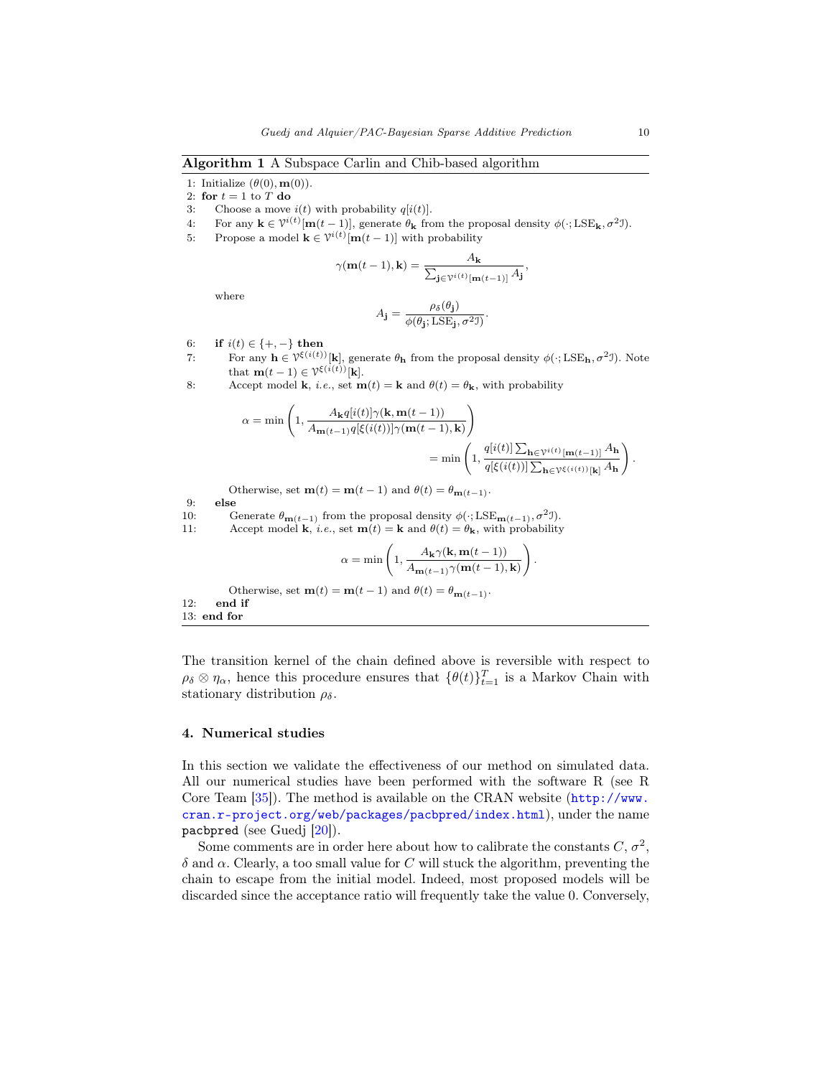<span id="page-9-1"></span>Algorithm 1 A Subspace Carlin and Chib-based algorithm

- 1: Initialize  $(\theta(0), \mathbf{m}(0))$ .
- 2: for  $t = 1$  to  $T$  do
- 3: Choose a move  $i(t)$  with probability  $q[i(t)]$ .
- 4: For any  $\mathbf{k} \in \mathcal{V}^{i(t)}[\mathbf{m}(t-1)]$ , generate  $\theta_{\mathbf{k}}$  from the proposal density  $\phi(\cdot; \text{LSE}_{\mathbf{k}}, \sigma^2 \mathcal{I})$ .
- 5: Propose a model  $\mathbf{k} \in \mathcal{V}^{i(t)}[\mathbf{m}(t-1)]$  with probability

$$
\gamma(\mathbf{m}(t-1), \mathbf{k}) = \frac{A_{\mathbf{k}}}{\sum_{\mathbf{j} \in \mathcal{V}^{i(t)}[\mathbf{m}(t-1)]} A_{\mathbf{j}}},
$$

where

$$
A_{\mathbf{j}} = \frac{\rho_{\delta}(\theta_{\mathbf{j}})}{\phi(\theta_{\mathbf{j}}; \text{LSE}_{\mathbf{j}}, \sigma^2 \mathbf{I})}.
$$

- 6: **if**  $i(t) \in \{+, -\}$  then
- 7: For any  $h \in \mathcal{V}^{\xi(i(t))}[k]$ , generate  $\theta_h$  from the proposal density  $\phi(\cdot; LSE_h, \sigma^2 J)$ . Note that  $\mathbf{m}(t-1) \in \mathcal{V}^{\xi(i(t))}[\mathbf{k}].$
- 8: Accept model **k**, *i.e.*, set **m**(*t*) = **k** and  $\theta$ (*t*) =  $\theta$ **<sub>k</sub>**, with probability

$$
\alpha = \min\left(1, \frac{A_{\mathbf{k}}q[i(t)]\gamma(\mathbf{k}, \mathbf{m}(t-1))}{A_{\mathbf{m}(t-1)}q[\xi(i(t))] \gamma(\mathbf{m}(t-1), \mathbf{k})}\right)
$$

$$
= \min\left(1, \frac{q[i(t)]\sum_{\mathbf{h}\in\mathcal{V}^{i(t)}[\mathbf{m}(t-1)]}A_{\mathbf{h}}}{q[\xi(i(t))] \sum_{\mathbf{h}\in\mathcal{V}^{\xi(i(t))}[\mathbf{k}]}A_{\mathbf{h}}}\right)
$$

Otherwise, set  $\mathbf{m}(t) = \mathbf{m}(t-1)$  and  $\theta(t) = \theta_{\mathbf{m}(t-1)}$ .

9: else

- 10: Generate  $\theta_{\mathbf{m}(t-1)}$  from the proposal density  $\phi(\cdot; \text{LSE}_{\mathbf{m}(t-1)}, \sigma^2 \mathcal{I}).$
- 11: Accept model **k**, *i.e.*, set **m**(*t*) = **k** and  $\theta(t) = \theta_k$ , with probability

$$
\alpha = \min\left(1, \frac{A_{\mathbf{k}}\gamma(\mathbf{k}, \mathbf{m}(t-1))}{A_{\mathbf{m}(t-1)}\gamma(\mathbf{m}(t-1), \mathbf{k})}\right).
$$

Otherwise, set  $\mathbf{m}(t) = \mathbf{m}(t-1)$  and  $\theta(t) = \theta_{\mathbf{m}(t-1)}$ . 12: end if 13: end for

The transition kernel of the chain defined above is reversible with respect to  $\rho_{\delta} \otimes \eta_{\alpha}$ , hence this procedure ensures that  $\{\theta(t)\}_{t=1}^T$  is a Markov Chain with stationary distribution  $\rho_{\delta}$ .

# <span id="page-9-0"></span>4. Numerical studies

In this section we validate the effectiveness of our method on simulated data. All our numerical studies have been performed with the software R (see R Core Team [\[35\]](#page-26-18)). The method is available on the CRAN website ([http://www.](http://www.cran.r-project.org/web/packages/pacbpred/index.html) [cran.r-project.org/web/packages/pacbpred/index.html](http://www.cran.r-project.org/web/packages/pacbpred/index.html)), under the name pacbpred (see Guedj [\[20\]](#page-25-17)).

Some comments are in order here about how to calibrate the constants  $C, \sigma^2$ ,  $\delta$  and  $\alpha$ . Clearly, a too small value for C will stuck the algorithm, preventing the chain to escape from the initial model. Indeed, most proposed models will be discarded since the acceptance ratio will frequently take the value 0. Conversely,

.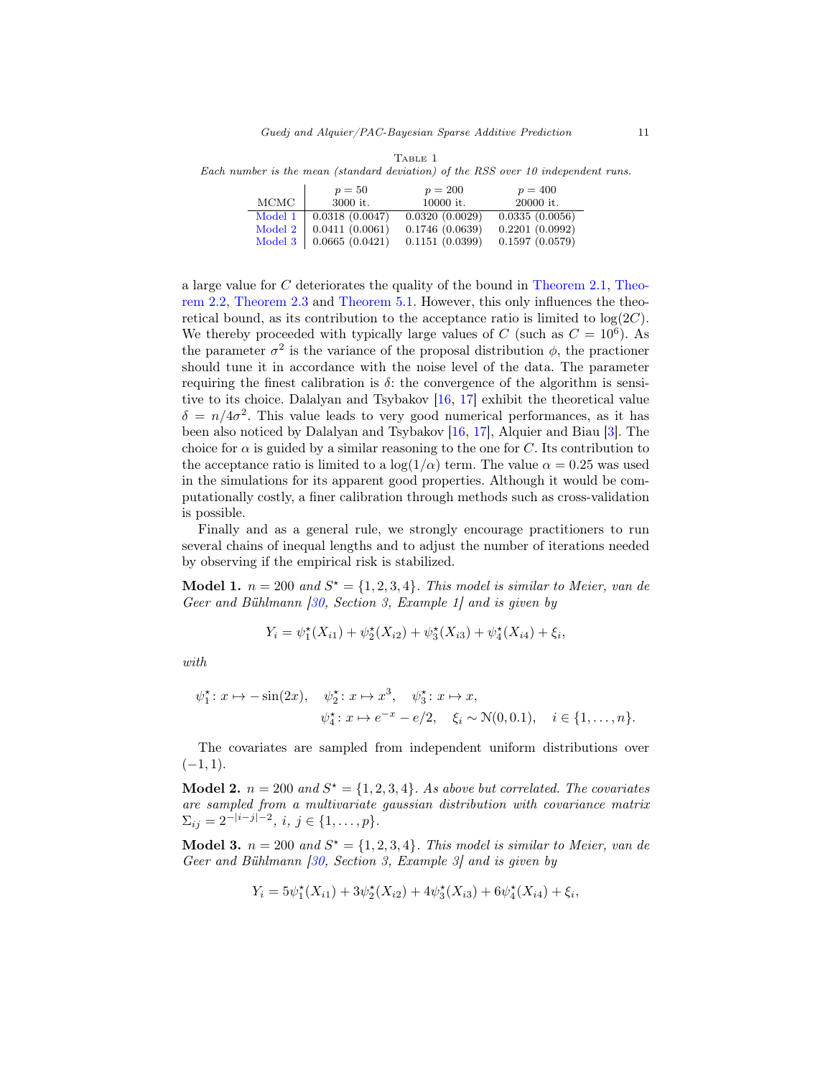|                             | $p=50$         | $p = 200$      | $p = 400$      |
|-----------------------------|----------------|----------------|----------------|
| MCMC                        | 3000 it.       | 10000 it.      | 20000 it.      |
| $\overline{\text{Model}}$ 1 | 0.0318(0.0047) | 0.0320(0.0029) | 0.0335(0.0056) |
| Model 2                     | 0.0411(0.0061) | 0.1746(0.0639) | 0.2201(0.0992) |
| Model 3                     | 0.0665(0.0421) | 0.1151(0.0399) | 0.1597(0.0579) |

<span id="page-10-3"></span>TABLE 1 Each number is the mean (standard deviation) of the RSS over 10 independent runs.

a large value for C deteriorates the quality of the bound in [Theorem 2.1,](#page-5-2) [Theo](#page-6-1)[rem 2.2,](#page-6-1) [Theorem 2.3](#page-7-0) and [Theorem 5.1.](#page-17-0) However, this only influences the theoretical bound, as its contribution to the acceptance ratio is limited to  $log(2C)$ . We thereby proceeded with typically large values of C (such as  $C = 10^6$ ). As the parameter  $\sigma^2$  is the variance of the proposal distribution  $\phi$ , the practioner should tune it in accordance with the noise level of the data. The parameter requiring the finest calibration is  $\delta$ : the convergence of the algorithm is sensitive to its choice. Dalalyan and Tsybakov [\[16,](#page-25-12) [17\]](#page-25-13) exhibit the theoretical value  $\delta = n/4\sigma^2$ . This value leads to very good numerical performances, as it has been also noticed by Dalalyan and Tsybakov [\[16,](#page-25-12) [17\]](#page-25-13), Alquier and Biau [\[3\]](#page-24-9). The choice for  $\alpha$  is guided by a similar reasoning to the one for C. Its contribution to the acceptance ratio is limited to a  $\log(1/\alpha)$  term. The value  $\alpha = 0.25$  was used in the simulations for its apparent good properties. Although it would be computationally costly, a finer calibration through methods such as cross-validation is possible.

Finally and as a general rule, we strongly encourage practitioners to run several chains of inequal lengths and to adjust the number of iterations needed by observing if the empirical risk is stabilized.

<span id="page-10-0"></span>**Model 1.**  $n = 200$  and  $S^* = \{1, 2, 3, 4\}$ . This model is similar to Meier, van de Geer and Bühlmann  $\beta$ 0, Section 3, Example 1 and is given by

$$
Y_i = \psi_1^*(X_{i1}) + \psi_2^*(X_{i2}) + \psi_3^*(X_{i3}) + \psi_4^*(X_{i4}) + \xi_i,
$$

with

$$
\psi_1^* \colon x \mapsto -\sin(2x), \quad \psi_2^* \colon x \mapsto x^3, \quad \psi_3^* \colon x \mapsto x,
$$
  
 $\psi_4^* \colon x \mapsto e^{-x} - e/2, \quad \xi_i \sim \mathcal{N}(0, 0.1), \quad i \in \{1, ..., n\}.$ 

The covariates are sampled from independent uniform distributions over  $(-1, 1).$ 

<span id="page-10-1"></span>**Model 2.**  $n = 200$  and  $S^* = \{1, 2, 3, 4\}$ . As above but correlated. The covariates are sampled from a multivariate gaussian distribution with covariance matrix  $\Sigma_{ij} = 2^{-|i-j|-2}, i, j \in \{1, \ldots, p\}.$ 

<span id="page-10-2"></span>**Model 3.**  $n = 200$  and  $S^* = \{1, 2, 3, 4\}$ . This model is similar to Meier, van de Geer and Bühlmann  $\beta$ 0, Section 3, Example 3, and is given by

$$
Y_i = 5\psi_1^*(X_{i1}) + 3\psi_2^*(X_{i2}) + 4\psi_3^*(X_{i3}) + 6\psi_4^*(X_{i4}) + \xi_i,
$$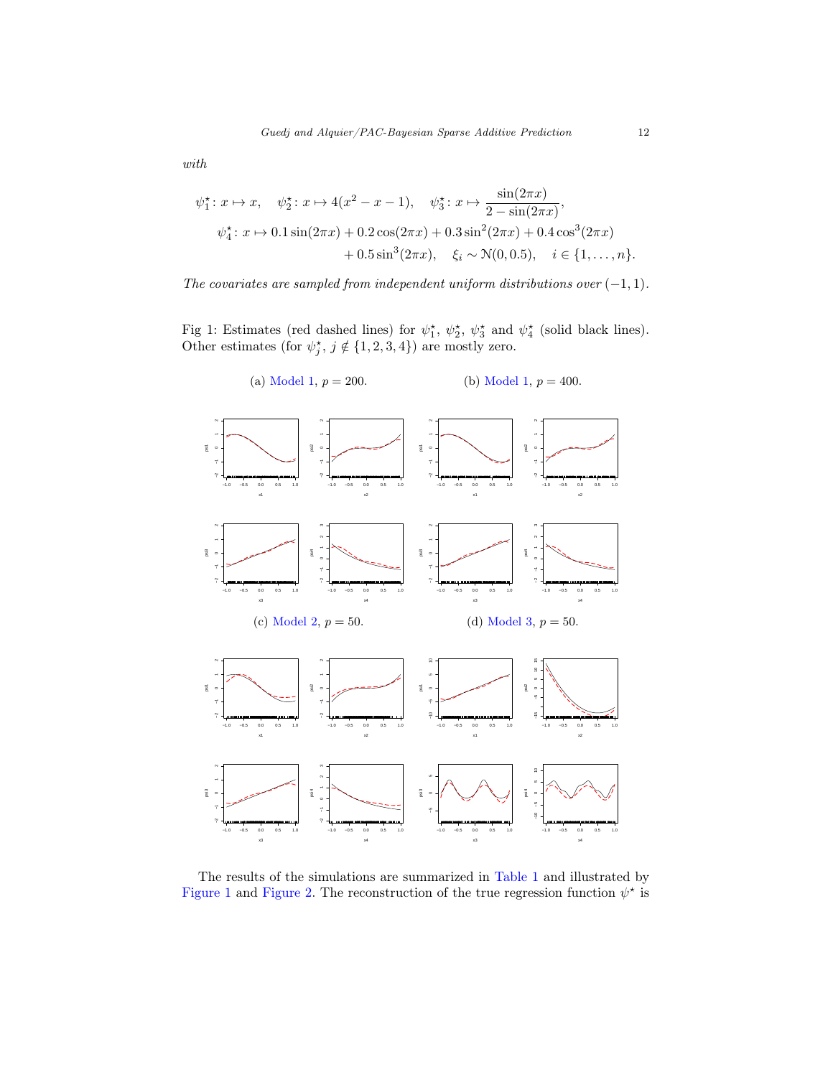$$
with
$$

$$
\psi_1^* : x \mapsto x, \quad \psi_2^* : x \mapsto 4(x^2 - x - 1), \quad \psi_3^* : x \mapsto \frac{\sin(2\pi x)}{2 - \sin(2\pi x)},
$$

$$
\psi_4^* : x \mapsto 0.1 \sin(2\pi x) + 0.2 \cos(2\pi x) + 0.3 \sin^2(2\pi x) + 0.4 \cos^3(2\pi x) + 0.5 \sin^3(2\pi x), \quad \xi_i \sim \mathcal{N}(0, 0.5), \quad i \in \{1, \dots, n\}.
$$

The covariates are sampled from independent uniform distributions over  $(-1, 1)$ .

<span id="page-11-0"></span>Fig 1: Estimates (red dashed lines) for  $\psi_1^*, \psi_2^*, \psi_3^*$  and  $\psi_4^*$  (solid black lines). Other estimates (for  $\psi_j^{\star}$ ,  $j \notin \{1, 2, 3, 4\}$ ) are mostly zero.



The results of the simulations are summarized in [Table 1](#page-10-3) and illustrated by [Figure 1](#page-11-0) and [Figure 2.](#page-13-0) The reconstruction of the true regression function  $\psi^*$  is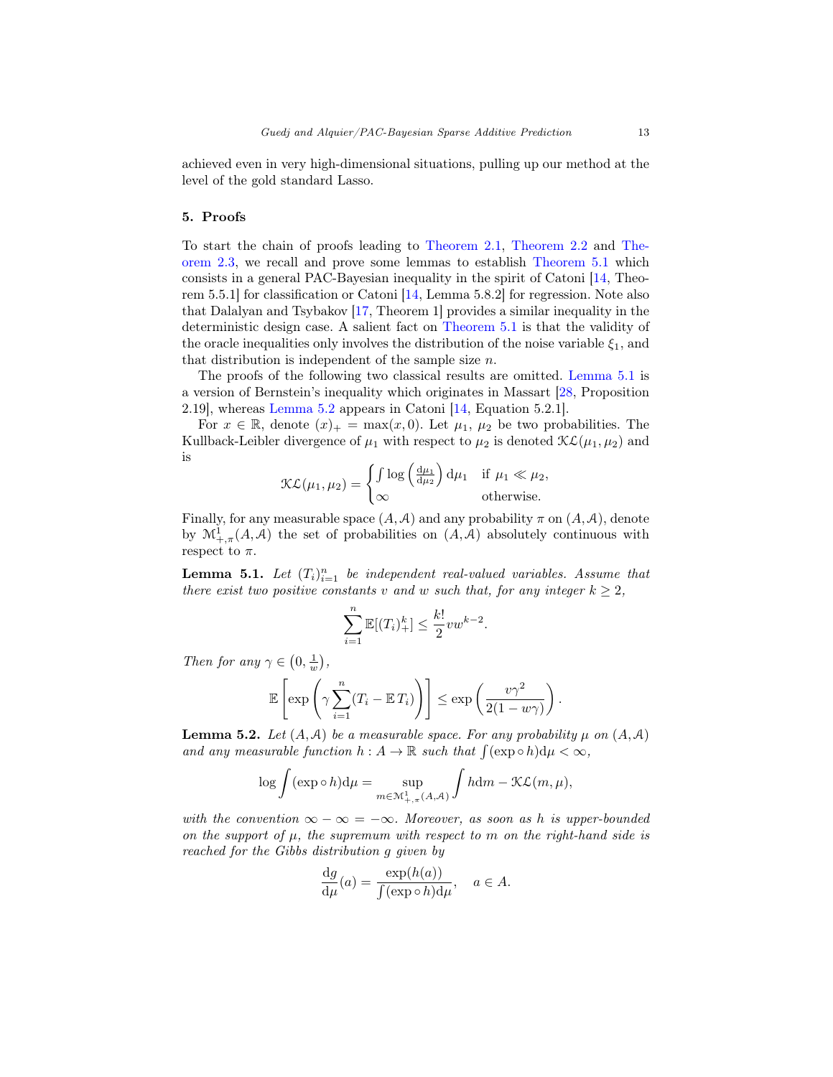achieved even in very high-dimensional situations, pulling up our method at the level of the gold standard Lasso.

# <span id="page-12-0"></span>5. Proofs

To start the chain of proofs leading to [Theorem 2.1,](#page-5-2) [Theorem 2.2](#page-6-1) and [The](#page-7-0)[orem 2.3,](#page-7-0) we recall and prove some lemmas to establish [Theorem 5.1](#page-17-0) which consists in a general PAC-Bayesian inequality in the spirit of Catoni [\[14,](#page-25-9) Theorem 5.5.1] for classification or Catoni [\[14,](#page-25-9) Lemma 5.8.2] for regression. Note also that Dalalyan and Tsybakov [\[17,](#page-25-13) Theorem 1] provides a similar inequality in the deterministic design case. A salient fact on [Theorem 5.1](#page-17-0) is that the validity of the oracle inequalities only involves the distribution of the noise variable  $\xi_1$ , and that distribution is independent of the sample size  $n$ .

The proofs of the following two classical results are omitted. [Lemma 5.1](#page-12-1) is a version of Bernstein's inequality which originates in Massart [\[28,](#page-26-19) Proposition 2.19], whereas [Lemma 5.2](#page-12-2) appears in Catoni [\[14,](#page-25-9) Equation 5.2.1].

For  $x \in \mathbb{R}$ , denote  $(x)_{+} = \max(x, 0)$ . Let  $\mu_1$ ,  $\mu_2$  be two probabilities. The Kullback-Leibler divergence of  $\mu_1$  with respect to  $\mu_2$  is denoted  $\mathcal{KL}(\mu_1, \mu_2)$  and is

$$
\mathcal{KL}(\mu_1, \mu_2) = \begin{cases} \int \log \left( \frac{d\mu_1}{d\mu_2} \right) d\mu_1 & \text{if } \mu_1 \ll \mu_2, \\ \infty & \text{otherwise.} \end{cases}
$$

Finally, for any measurable space  $(A, \mathcal{A})$  and any probability  $\pi$  on  $(A, \mathcal{A})$ , denote by  $\mathcal{M}^1_{+,\pi}(A,\mathcal{A})$  the set of probabilities on  $(A,\mathcal{A})$  absolutely continuous with respect to  $\pi$ .

<span id="page-12-1"></span>**Lemma 5.1.** Let  $(T_i)_{i=1}^n$  be independent real-valued variables. Assume that there exist two positive constants v and w such that, for any integer  $k \geq 2$ ,

$$
\sum_{i=1}^{n} \mathbb{E}[(T_i)^k_+] \le \frac{k!}{2}vw^{k-2}
$$

.

Then for any  $\gamma \in (0, \frac{1}{w}),$ 

$$
\mathbb{E}\left[\exp\left(\gamma\sum_{i=1}^n(T_i - \mathbb{E} T_i)\right)\right] \le \exp\left(\frac{v\gamma^2}{2(1 - w\gamma)}\right).
$$

<span id="page-12-2"></span>**Lemma 5.2.** Let  $(A, \mathcal{A})$  be a measurable space. For any probability  $\mu$  on  $(A, \mathcal{A})$ and any measurable function  $h: A \to \mathbb{R}$  such that  $\int (\exp \circ h) d\mu < \infty$ ,

$$
\log \int (\exp \circ h) d\mu = \sup_{m \in \mathcal{M}^1_{+,\pi}(A,A)} \int h dm - \mathcal{KL}(m,\mu),
$$

with the convention  $\infty - \infty = -\infty$ . Moreover, as soon as h is upper-bounded on the support of  $\mu$ , the supremum with respect to m on the right-hand side is reached for the Gibbs distribution g given by

$$
\frac{\mathrm{d}g}{\mathrm{d}\mu}(a) = \frac{\exp(h(a))}{\int (\exp \circ h) \mathrm{d}\mu}, \quad a \in A.
$$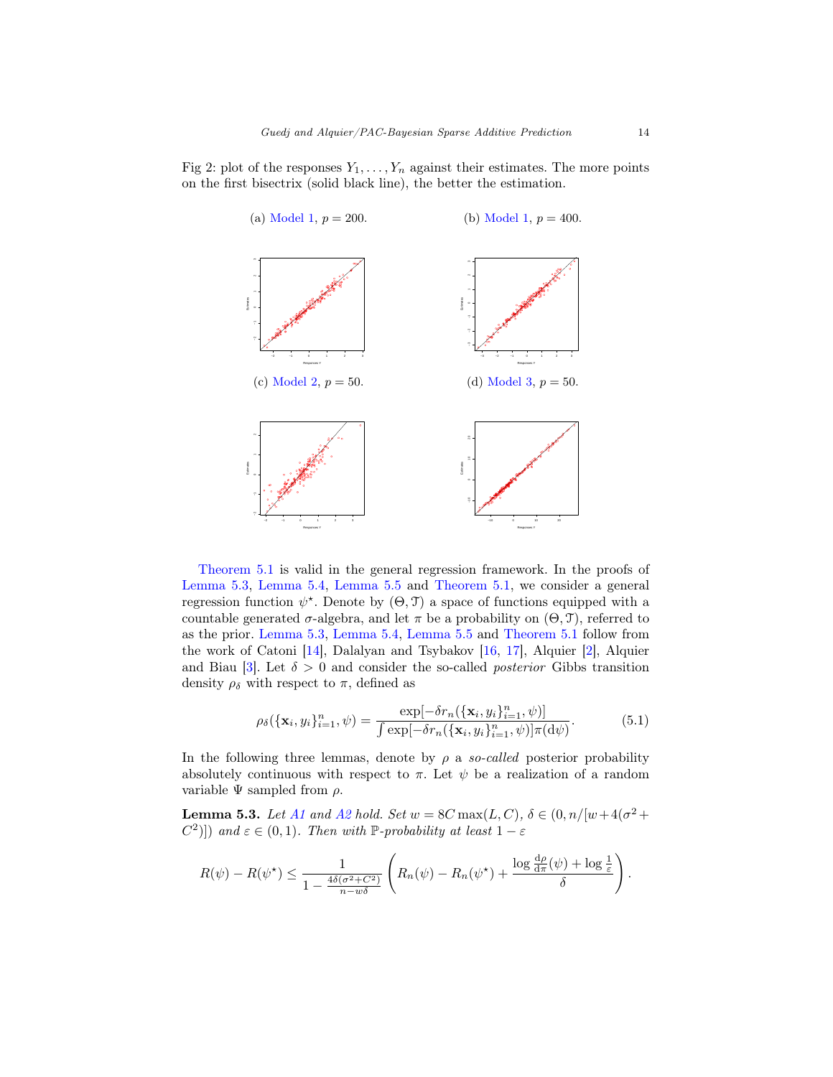<span id="page-13-0"></span>Fig 2: plot of the responses  $Y_1, \ldots, Y_n$  against their estimates. The more points on the first bisectrix (solid black line), the better the estimation.



[Theorem 5.1](#page-17-0) is valid in the general regression framework. In the proofs of [Lemma 5.3,](#page-13-1) [Lemma 5.4,](#page-16-0) [Lemma 5.5](#page-17-1) and [Theorem 5.1,](#page-17-0) we consider a general regression function  $\psi^*$ . Denote by  $(\Theta, \mathcal{T})$  a space of functions equipped with a countable generated  $\sigma$ -algebra, and let  $\pi$  be a probability on  $(\Theta, \mathcal{T})$ , referred to as the prior. [Lemma 5.3,](#page-13-1) [Lemma 5.4,](#page-16-0) [Lemma 5.5](#page-17-1) and [Theorem 5.1](#page-17-0) follow from the work of Catoni [\[14\]](#page-25-9), Dalalyan and Tsybakov [\[16,](#page-25-12) [17\]](#page-25-13), Alquier [\[2\]](#page-24-5), Alquier and Biau [\[3\]](#page-24-9). Let  $\delta > 0$  and consider the so-called *posterior* Gibbs transition density  $\rho_{\delta}$  with respect to  $\pi$ , defined as

<span id="page-13-2"></span>
$$
\rho_{\delta}(\{\mathbf{x}_i, y_i\}_{i=1}^n, \psi) = \frac{\exp[-\delta r_n(\{\mathbf{x}_i, y_i\}_{i=1}^n, \psi)]}{\int \exp[-\delta r_n(\{\mathbf{x}_i, y_i\}_{i=1}^n, \psi)]\pi(\mathrm{d}\psi)}.
$$
(5.1)

In the following three lemmas, denote by  $\rho$  a so-called posterior probability absolutely continuous with respect to  $\pi$ . Let  $\psi$  be a realization of a random variable  $\Psi$  sampled from  $\rho$ .

<span id="page-13-1"></span>**Lemma 5.3.** Let [A1](#page-3-1) and [A2](#page-3-2) hold. Set  $w = 8C \max(L, C)$ ,  $\delta \in (0, n/[w+4(\sigma^2 +$ C<sup>2</sup>)]) and  $\varepsilon \in (0,1)$ . Then with P-probability at least  $1 - \varepsilon$ 

$$
R(\psi) - R(\psi^*) \leq \frac{1}{1 - \frac{4\delta(\sigma^2 + C^2)}{n - w\delta}} \left( R_n(\psi) - R_n(\psi^*) + \frac{\log \frac{d\rho}{d\pi}(\psi) + \log \frac{1}{\varepsilon}}{\delta} \right).
$$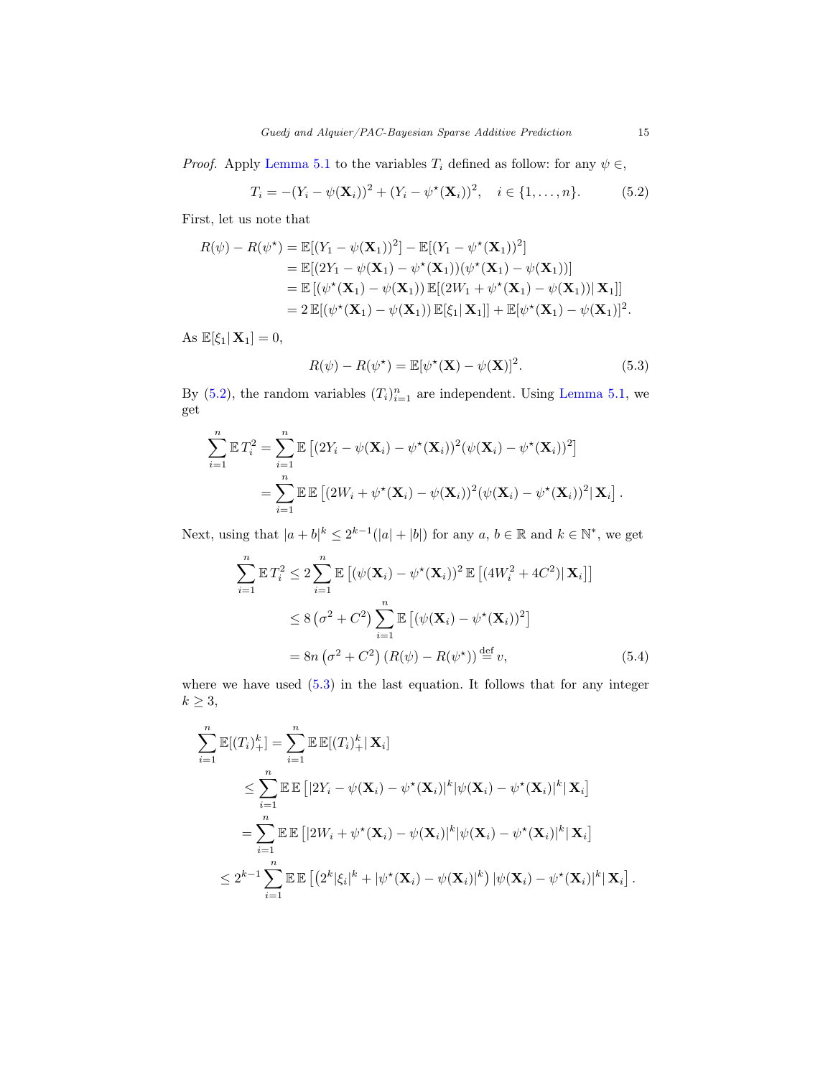*Proof.* Apply [Lemma 5.1](#page-12-1) to the variables  $T_i$  defined as follow: for any  $\psi \in$ ,

<span id="page-14-0"></span>
$$
T_i = -(Y_i - \psi(\mathbf{X}_i))^2 + (Y_i - \psi^*(\mathbf{X}_i))^2, \quad i \in \{1, ..., n\}.
$$
 (5.2)

First, let us note that

$$
R(\psi) - R(\psi^*) = \mathbb{E}[(Y_1 - \psi(\mathbf{X}_1))^2] - \mathbb{E}[(Y_1 - \psi^*(\mathbf{X}_1))^2]
$$
  
\n
$$
= \mathbb{E}[(2Y_1 - \psi(\mathbf{X}_1) - \psi^*(\mathbf{X}_1))(\psi^*(\mathbf{X}_1) - \psi(\mathbf{X}_1))]
$$
  
\n
$$
= \mathbb{E}[(\psi^*(\mathbf{X}_1) - \psi(\mathbf{X}_1))\mathbb{E}[(2W_1 + \psi^*(\mathbf{X}_1) - \psi(\mathbf{X}_1))|\mathbf{X}_1]]
$$
  
\n
$$
= 2 \mathbb{E}[(\psi^*(\mathbf{X}_1) - \psi(\mathbf{X}_1))\mathbb{E}[\xi_1|\mathbf{X}_1]] + \mathbb{E}[\psi^*(\mathbf{X}_1) - \psi(\mathbf{X}_1)]^2.
$$

As  $\mathbb{E}[\xi_1|\mathbf{X}_1]=0,$ 

<span id="page-14-1"></span>
$$
R(\psi) - R(\psi^*) = \mathbb{E}[\psi^*(\mathbf{X}) - \psi(\mathbf{X})]^2.
$$
\n(5.3)

By [\(5.2\)](#page-14-0), the random variables  $(T_i)_{i=1}^n$  are independent. Using [Lemma 5.1,](#page-12-1) we get

$$
\sum_{i=1}^{n} \mathbb{E} T_i^2 = \sum_{i=1}^{n} \mathbb{E} \left[ (2Y_i - \psi(\mathbf{X}_i) - \psi^*(\mathbf{X}_i))^2 (\psi(\mathbf{X}_i) - \psi^*(\mathbf{X}_i))^2 \right]
$$
  
= 
$$
\sum_{i=1}^{n} \mathbb{E} \mathbb{E} \left[ (2W_i + \psi^*(\mathbf{X}_i) - \psi(\mathbf{X}_i))^2 (\psi(\mathbf{X}_i) - \psi^*(\mathbf{X}_i))^2 (\mathbf{X}_i) \right].
$$

Next, using that  $|a+b|^k \leq 2^{k-1}(|a|+|b|)$  for any  $a, b \in \mathbb{R}$  and  $k \in \mathbb{N}^*$ , we get

$$
\sum_{i=1}^{n} \mathbb{E} T_i^2 \le 2 \sum_{i=1}^{n} \mathbb{E} \left[ (\psi(\mathbf{X}_i) - \psi^*(\mathbf{X}_i))^2 \mathbb{E} \left[ (4W_i^2 + 4C^2) | \mathbf{X}_i \right] \right]
$$
  
\n
$$
\le 8 \left( \sigma^2 + C^2 \right) \sum_{i=1}^{n} \mathbb{E} \left[ (\psi(\mathbf{X}_i) - \psi^*(\mathbf{X}_i))^2 \right]
$$
  
\n
$$
= 8n \left( \sigma^2 + C^2 \right) \left( R(\psi) - R(\psi^*) \right) \stackrel{\text{def}}{=} v,
$$
\n(5.4)

where we have used [\(5.3\)](#page-14-1) in the last equation. It follows that for any integer  $k \geq 3$ ,

$$
\sum_{i=1}^{n} \mathbb{E}[(T_i)^k_{+}] = \sum_{i=1}^{n} \mathbb{E} \mathbb{E}[(T_i)^k_{+} | \mathbf{X}_i]
$$
\n
$$
\leq \sum_{i=1}^{n} \mathbb{E} \mathbb{E} [|2Y_i - \psi(\mathbf{X}_i) - \psi^*(\mathbf{X}_i)|^k |\psi(\mathbf{X}_i) - \psi^*(\mathbf{X}_i)|^k |\mathbf{X}_i]
$$
\n
$$
= \sum_{i=1}^{n} \mathbb{E} \mathbb{E} [|2W_i + \psi^*(\mathbf{X}_i) - \psi(\mathbf{X}_i)|^k |\psi(\mathbf{X}_i) - \psi^*(\mathbf{X}_i)|^k |\mathbf{X}_i]
$$
\n
$$
\leq 2^{k-1} \sum_{i=1}^{n} \mathbb{E} \mathbb{E} \left[ \left( 2^k |\xi_i|^k + |\psi^*(\mathbf{X}_i) - \psi(\mathbf{X}_i)|^k \right) |\psi(\mathbf{X}_i) - \psi^*(\mathbf{X}_i)|^k |\mathbf{X}_i \right].
$$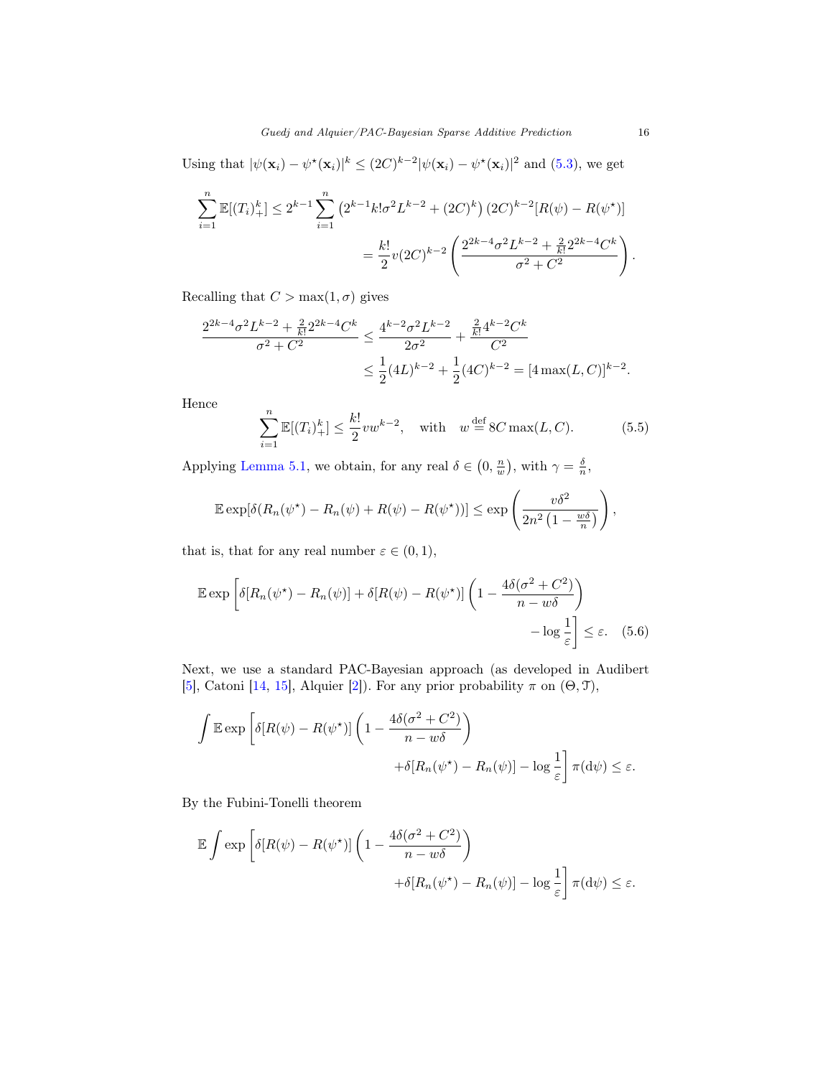Using that  $|\psi(\mathbf{x}_i) - \psi^*(\mathbf{x}_i)|^k \leq (2C)^{k-2} |\psi(\mathbf{x}_i) - \psi^*(\mathbf{x}_i)|^2$  and [\(5.3\)](#page-14-1), we get

$$
\sum_{i=1}^{n} \mathbb{E}[(T_i)^k_+] \le 2^{k-1} \sum_{i=1}^{n} \left(2^{k-1} k! \sigma^2 L^{k-2} + (2C)^k\right) (2C)^{k-2} [R(\psi) - R(\psi^*)]
$$

$$
= \frac{k!}{2} v (2C)^{k-2} \left(\frac{2^{2k-4} \sigma^2 L^{k-2} + \frac{2}{k!} 2^{2k-4} C^k}{\sigma^2 + C^2}\right).
$$

Recalling that  $C > \max(1, \sigma)$  gives

$$
\frac{2^{2k-4}\sigma^2 L^{k-2} + \frac{2}{k!}2^{2k-4}C^k}{\sigma^2 + C^2} \le \frac{4^{k-2}\sigma^2 L^{k-2}}{2\sigma^2} + \frac{\frac{2}{k!}4^{k-2}C^k}{C^2}
$$

$$
\le \frac{1}{2}(4L)^{k-2} + \frac{1}{2}(4C)^{k-2} = [4\max(L, C)]^{k-2}.
$$

Hence

<span id="page-15-0"></span>
$$
\sum_{i=1}^{n} \mathbb{E}[(T_i)^k_{+}] \le \frac{k!}{2}vw^{k-2}, \quad \text{with} \quad w \stackrel{\text{def}}{=} 8C \max(L, C). \tag{5.5}
$$

Applying [Lemma 5.1,](#page-12-1) we obtain, for any real  $\delta \in (0, \frac{n}{w})$ , with  $\gamma = \frac{\delta}{n}$ ,

$$
\mathbb{E} \exp[\delta(R_n(\psi^\star) - R_n(\psi) + R(\psi) - R(\psi^\star))] \le \exp\left(\frac{v\delta^2}{2n^2\left(1 - \frac{w\delta}{n}\right)}\right),
$$

that is, that for any real number  $\varepsilon \in (0,1)$ ,

$$
\mathbb{E} \exp \left[ \delta [R_n(\psi^*) - R_n(\psi)] + \delta [R(\psi) - R(\psi^*)] \left( 1 - \frac{4\delta(\sigma^2 + C^2)}{n - w\delta} \right) - \log \frac{1}{\varepsilon} \right] \le \varepsilon. \quad (5.6)
$$

Next, we use a standard PAC-Bayesian approach (as developed in Audibert [\[5\]](#page-24-2), Catoni [\[14,](#page-25-9) [15\]](#page-25-10), Alquier [\[2\]](#page-24-5)). For any prior probability  $\pi$  on  $(\Theta, \mathcal{T})$ ,

$$
\int \mathbb{E} \exp \left[ \delta [R(\psi) - R(\psi^*)] \left( 1 - \frac{4\delta(\sigma^2 + C^2)}{n - w\delta} \right) + \delta [R_n(\psi^*) - R_n(\psi)] - \log \frac{1}{\varepsilon} \right] \pi(\mathrm{d}\psi) \le \varepsilon.
$$

By the Fubini-Tonelli theorem

$$
\mathbb{E} \int \exp \left[ \delta [R(\psi) - R(\psi^*)] \left( 1 - \frac{4\delta(\sigma^2 + C^2)}{n - w\delta} \right) + \delta [R_n(\psi^*) - R_n(\psi)] - \log \frac{1}{\varepsilon} \right] \pi(\mathrm{d}\psi) \le \varepsilon.
$$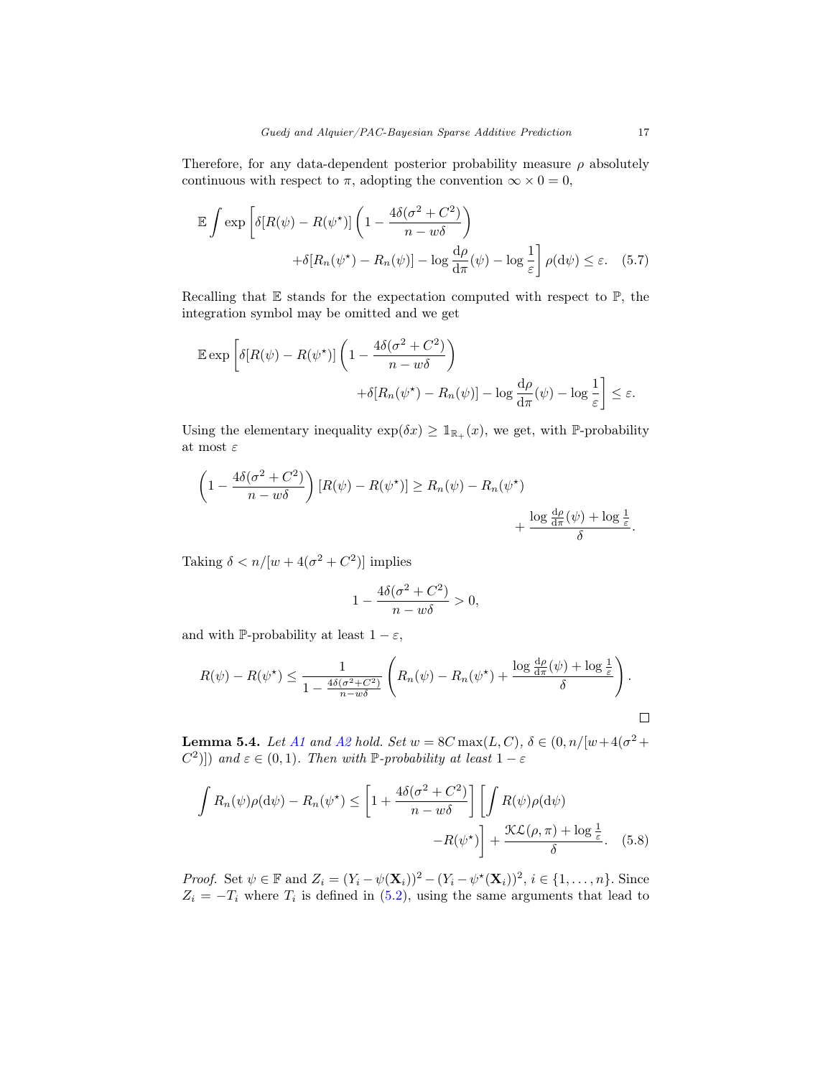Therefore, for any data-dependent posterior probability measure  $\rho$  absolutely continuous with respect to  $\pi$ , adopting the convention  $\infty \times 0 = 0$ ,

<span id="page-16-2"></span>
$$
\mathbb{E} \int \exp \left[ \delta [R(\psi) - R(\psi^*)] \left( 1 - \frac{4\delta(\sigma^2 + C^2)}{n - w\delta} \right) + \delta [R_n(\psi^*) - R_n(\psi)] - \log \frac{d\rho}{d\pi}(\psi) - \log \frac{1}{\varepsilon} \right] \rho(\mathrm{d}\psi) \le \varepsilon. \tag{5.7}
$$

Recalling that  $E$  stands for the expectation computed with respect to  $\mathbb{P}$ , the integration symbol may be omitted and we get

$$
\mathbb{E} \exp \left[ \delta [R(\psi) - R(\psi^*)] \left( 1 - \frac{4\delta(\sigma^2 + C^2)}{n - w\delta} \right) + \delta [R_n(\psi^*) - R_n(\psi)] - \log \frac{d\rho}{d\pi}(\psi) - \log \frac{1}{\varepsilon} \right] \le \varepsilon.
$$

Using the elementary inequality  $\exp(\delta x) \geq \mathbb{1}_{\mathbb{R}_+}(x)$ , we get, with P-probability at most  $\varepsilon$ 

$$
\left(1 - \frac{4\delta(\sigma^2 + C^2)}{n - w\delta}\right) [R(\psi) - R(\psi^*)] \ge R_n(\psi) - R_n(\psi^*) + \frac{\log \frac{d\rho}{d\pi}(\psi) + \log \frac{1}{\varepsilon}}{\delta}.
$$

Taking  $\delta < n/[w+4(\sigma^2+C^2)]$  implies

<span id="page-16-1"></span>
$$
1 - \frac{4\delta(\sigma^2 + C^2)}{n - w\delta} > 0,
$$

and with P-probability at least  $1 - \varepsilon$ ,

$$
R(\psi) - R(\psi^*) \le \frac{1}{1 - \frac{4\delta(\sigma^2 + C^2)}{n - w\delta}} \left( R_n(\psi) - R_n(\psi^*) + \frac{\log \frac{d\rho}{d\pi}(\psi) + \log \frac{1}{\varepsilon}}{\delta} \right).
$$

<span id="page-16-0"></span>**Lemma 5.4.** Let [A1](#page-3-1) and [A2](#page-3-2) hold. Set  $w = 8C \max(L, C), \delta \in (0, n/|w+4(\sigma^2 +$ C<sup>2</sup>)]) and  $\varepsilon \in (0,1)$ . Then with P-probability at least  $1 - \varepsilon$ 

$$
\int R_n(\psi)\rho(\mathrm{d}\psi) - R_n(\psi^*) \le \left[1 + \frac{4\delta(\sigma^2 + C^2)}{n - w\delta}\right] \left[\int R(\psi)\rho(\mathrm{d}\psi) - R(\psi^*)\right] + \frac{\mathcal{K}\mathcal{L}(\rho, \pi) + \log\frac{1}{\varepsilon}}{\delta}.
$$
 (5.8)

*Proof.* Set  $\psi \in \mathbb{F}$  and  $Z_i = (Y_i - \psi(\mathbf{X}_i))^2 - (Y_i - \psi^*(\mathbf{X}_i))^2, i \in \{1, ..., n\}$ . Since  $Z_i = -T_i$  where  $T_i$  is defined in [\(5.2\)](#page-14-0), using the same arguments that lead to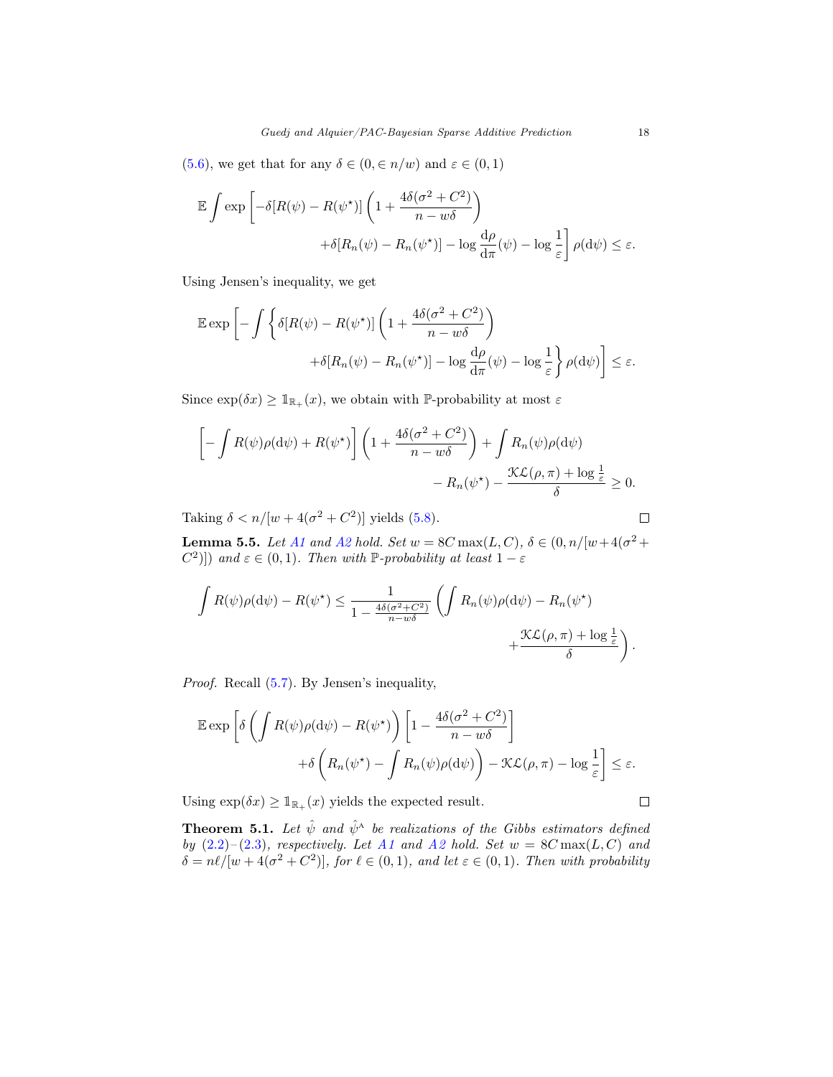[\(5.6\)](#page-15-0), we get that for any  $\delta \in (0, \in n/w)$  and  $\varepsilon \in (0, 1)$ 

$$
\mathbb{E} \int \exp \left[ -\delta [R(\psi) - R(\psi^*)] \left( 1 + \frac{4\delta(\sigma^2 + C^2)}{n - w\delta} \right) + \delta [R_n(\psi) - R_n(\psi^*)] - \log \frac{d\rho}{d\pi}(\psi) - \log \frac{1}{\varepsilon} \right] \rho(\mathrm{d}\psi) \le \varepsilon.
$$

Using Jensen's inequality, we get

$$
\mathbb{E} \exp \left[ - \int \left\{ \delta [R(\psi) - R(\psi^*)] \left( 1 + \frac{4\delta(\sigma^2 + C^2)}{n - w\delta} \right) + \delta [R_n(\psi) - R_n(\psi^*)] - \log \frac{d\rho}{d\pi}(\psi) - \log \frac{1}{\varepsilon} \right\} \rho(\mathrm{d}\psi) \right] \le \varepsilon.
$$

Since  $\exp(\delta x) \geq \mathbb{1}_{\mathbb{R}_+}(x)$ , we obtain with P-probability at most  $\varepsilon$ 

$$
\[ - \int R(\psi)\rho(\mathrm{d}\psi) + R(\psi^{\star}) \] \left( 1 + \frac{4\delta(\sigma^2 + C^2)}{n - w\delta} \right) + \int R_n(\psi)\rho(\mathrm{d}\psi) -R_n(\psi^{\star}) - \frac{\mathcal{K}\mathcal{L}(\rho, \pi) + \log \frac{1}{\varepsilon}}{\delta} \ge 0.
$$

Taking  $\delta < n/[w + 4(\sigma^2 + C^2)]$  yields [\(5.8\)](#page-16-1).

<span id="page-17-1"></span>**Lemma 5.5.** Let [A1](#page-3-1) and [A2](#page-3-2) hold. Set  $w = 8C \max(L, C), \delta \in (0, n/|w+4(\sigma^2 +$ C<sup>2</sup>)]) and  $\varepsilon \in (0,1)$ . Then with P-probability at least  $1 - \varepsilon$ 

$$
\int R(\psi)\rho(\mathrm{d}\psi) - R(\psi^*) \leq \frac{1}{1 - \frac{4\delta(\sigma^2 + C^2)}{n - w\delta}} \left( \int R_n(\psi)\rho(\mathrm{d}\psi) - R_n(\psi^*) + \frac{\mathcal{K}\mathcal{L}(\rho, \pi) + \log \frac{1}{\varepsilon}}{\delta} \right).
$$

Proof. Recall [\(5.7\)](#page-16-2). By Jensen's inequality,

$$
\mathbb{E} \exp \left[ \delta \left( \int R(\psi) \rho(\mathrm{d}\psi) - R(\psi^{\star}) \right) \left[ 1 - \frac{4\delta(\sigma^2 + C^2)}{n - w\delta} \right] + \delta \left( R_n(\psi^{\star}) - \int R_n(\psi) \rho(\mathrm{d}\psi) \right) - \mathcal{K}\mathcal{L}(\rho, \pi) - \log \frac{1}{\varepsilon} \right] \le \varepsilon.
$$

Using  $\exp(\delta x) \geq \mathbb{1}_{\mathbb{R}_+}(x)$  yields the expected result.

<span id="page-17-0"></span>**Theorem 5.1.** Let  $\hat{\psi}$  and  $\hat{\psi}^{\text{A}}$  be realizations of the Gibbs estimators defined by  $(2.2)$ – $(2.3)$ , respectively. Let [A1](#page-3-1) and [A2](#page-3-2) hold. Set  $w = 8C \max(L, C)$  and  $\delta = n\ell/[w + 4(\sigma^2 + C^2)]$ , for  $\ell \in (0, 1)$ , and let  $\varepsilon \in (0, 1)$ . Then with probability

 $\Box$ 

 $\Box$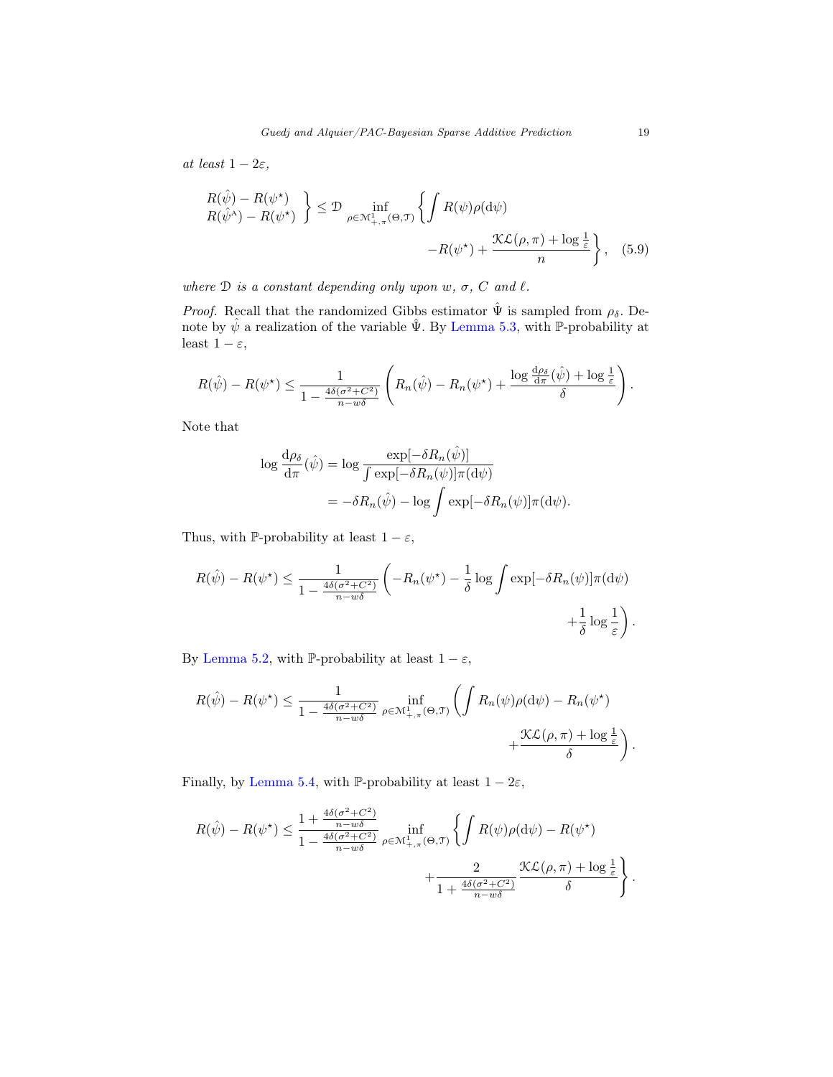at least  $1 - 2\varepsilon$ ,

$$
\begin{aligned} R(\hat{\psi}) - R(\psi^{\star}) \\ R(\hat{\psi}^{\wedge}) - R(\psi^{\star}) \end{aligned} \Big\} \leq \mathcal{D} \inf_{\rho \in \mathcal{M}^1_{+, \pi}(\Theta, \mathcal{T})} \left\{ \int R(\psi) \rho(\mathrm{d}\psi) \\ - R(\psi^{\star}) + \frac{\mathcal{K}\mathcal{L}(\rho, \pi) + \log \frac{1}{\varepsilon}}{n} \right\}, \quad (5.9)
$$

where  $D$  is a constant depending only upon  $w, \sigma, C$  and  $\ell$ .

*Proof.* Recall that the randomized Gibbs estimator  $\hat{\Psi}$  is sampled from  $\rho_{\delta}$ . Denote by  $\hat{\psi}$  a realization of the variable  $\hat{\Psi}$ . By [Lemma 5.3,](#page-13-1) with P-probability at least  $1 - \varepsilon$ ,

$$
R(\hat{\psi}) - R(\psi^{\star}) \le \frac{1}{1 - \frac{4\delta(\sigma^2 + C^2)}{n - w\delta}} \left( R_n(\hat{\psi}) - R_n(\psi^{\star}) + \frac{\log \frac{d\rho_{\delta}}{d\pi}(\hat{\psi}) + \log \frac{1}{\varepsilon}}{\delta} \right).
$$

Note that

$$
\log \frac{d\rho_{\delta}}{d\pi}(\hat{\psi}) = \log \frac{\exp[-\delta R_n(\hat{\psi})]}{\int \exp[-\delta R_n(\psi)]\pi(d\psi)}
$$
  
=  $-\delta R_n(\hat{\psi}) - \log \int \exp[-\delta R_n(\psi)]\pi(d\psi).$ 

Thus, with  $\mathbb P\text{-probability}$  at least  $1-\varepsilon,$ 

$$
R(\hat{\psi}) - R(\psi^*) \le \frac{1}{1 - \frac{4\delta(\sigma^2 + C^2)}{n - w\delta}} \left( -R_n(\psi^*) - \frac{1}{\delta} \log \int \exp[-\delta R_n(\psi)] \pi(\mathrm{d}\psi) + \frac{1}{\delta} \log \frac{1}{\varepsilon} \right).
$$

By [Lemma 5.2,](#page-12-2) with P-probability at least  $1 - \varepsilon$ ,

$$
R(\hat{\psi}) - R(\psi^{\star}) \le \frac{1}{1 - \frac{4\delta(\sigma^2 + C^2)}{n - w\delta}} \inf_{\rho \in \mathcal{M}^1_{+, \pi}(\Theta, \mathcal{T})} \left( \int R_n(\psi) \rho(\mathrm{d}\psi) - R_n(\psi^{\star}) + \frac{\mathcal{K}\mathcal{L}(\rho, \pi) + \log \frac{1}{\varepsilon}}{\delta} \right).
$$

Finally, by [Lemma 5.4,](#page-16-0) with P-probability at least  $1 - 2\varepsilon$ ,

$$
R(\hat{\psi}) - R(\psi^{\star}) \le \frac{1 + \frac{4\delta(\sigma^2 + C^2)}{n - w\delta}}{1 - \frac{4\delta(\sigma^2 + C^2)}{n - w\delta}} \inf_{\rho \in \mathcal{M}^1_{+, \pi}(\Theta, \mathcal{T})} \left\{ \int R(\psi) \rho(\mathrm{d}\psi) - R(\psi^{\star}) \right. \\ \left. + \frac{2}{1 + \frac{4\delta(\sigma^2 + C^2)}{n - w\delta}} \frac{\mathcal{K}\mathcal{L}(\rho, \pi) + \log \frac{1}{\varepsilon}}{ \delta} \right\}.
$$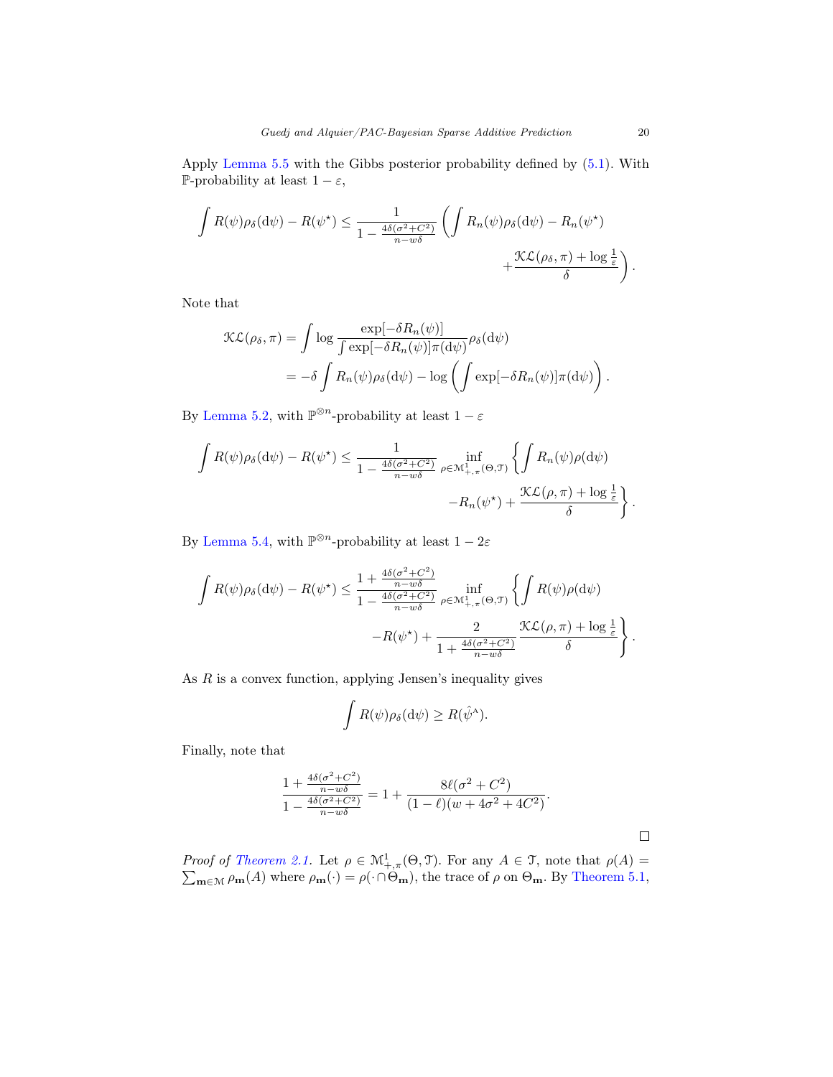Apply [Lemma 5.5](#page-17-1) with the Gibbs posterior probability defined by [\(5.1\)](#page-13-2). With P-probability at least  $1 - \varepsilon$ ,

$$
\int R(\psi)\rho_{\delta}(\mathrm{d}\psi) - R(\psi^{\star}) \leq \frac{1}{1 - \frac{4\delta(\sigma^2 + C^2)}{n - w\delta}} \left( \int R_n(\psi)\rho_{\delta}(\mathrm{d}\psi) - R_n(\psi^{\star}) + \frac{\mathcal{K}\mathcal{L}(\rho_{\delta}, \pi) + \log \frac{1}{\varepsilon}}{\delta} \right).
$$

Note that

$$
\mathcal{KL}(\rho_{\delta}, \pi) = \int \log \frac{\exp[-\delta R_n(\psi)]}{\int \exp[-\delta R_n(\psi)] \pi(\mathrm{d}\psi)} \rho_{\delta}(\mathrm{d}\psi)
$$
  
=  $-\delta \int R_n(\psi) \rho_{\delta}(\mathrm{d}\psi) - \log \left( \int \exp[-\delta R_n(\psi)] \pi(\mathrm{d}\psi) \right).$ 

By [Lemma 5.2,](#page-12-2) with  $\mathbb{P}^{\otimes n}$ -probability at least  $1-\varepsilon$ 

$$
\int R(\psi)\rho_{\delta}(\mathrm{d}\psi) - R(\psi^{\star}) \leq \frac{1}{1 - \frac{4\delta(\sigma^2 + C^2)}{n - w\delta}} \inf_{\rho \in \mathcal{M}^1_{+, \pi}(\Theta, \mathcal{T})} \left\{ \int R_n(\psi)\rho(\mathrm{d}\psi) -R_n(\psi^{\star}) + \frac{\mathcal{K}\mathcal{L}(\rho, \pi) + \log \frac{1}{\varepsilon}}{\delta} \right\}.
$$

By [Lemma 5.4,](#page-16-0) with  $\mathbb{P}^{\otimes n}$ -probability at least  $1-2\varepsilon$ 

$$
\int R(\psi)\rho_{\delta}(\mathrm{d}\psi) - R(\psi^{\star}) \leq \frac{1 + \frac{4\delta(\sigma^2 + C^2)}{n - w\delta}}{1 - \frac{4\delta(\sigma^2 + C^2)}{n - w\delta}} \inf_{\rho \in \mathcal{M}^1_{+, \pi}(\Theta, \mathcal{T})} \left\{ \int R(\psi)\rho(\mathrm{d}\psi) -R(\psi^{\star}) + \frac{2}{1 + \frac{4\delta(\sigma^2 + C^2)}{n - w\delta}} \frac{\mathcal{K}\mathcal{L}(\rho, \pi) + \log \frac{1}{\varepsilon}}{\delta} \right\}.
$$

As  $R$  is a convex function, applying Jensen's inequality gives

$$
\int R(\psi)\rho_{\delta}(\mathrm{d}\psi) \geq R(\hat{\psi}^{\mathbf{A}}).
$$

Finally, note that

$$
\frac{1 + \frac{4\delta(\sigma^2 + C^2)}{n - w\delta}}{1 - \frac{4\delta(\sigma^2 + C^2)}{n - w\delta}} = 1 + \frac{8\ell(\sigma^2 + C^2)}{(1 - \ell)(w + 4\sigma^2 + 4C^2)}.
$$

*Proof of [Theorem 2.1.](#page-5-2)* Let  $\rho \in M^1_{+\pi}(\Theta, \mathcal{T})$ . For any  $A \in \mathcal{T}$ , note that  $\rho(A) =$  $\sum_{\mathbf{m}\in\mathcal{M}} \rho_{\mathbf{m}}(A)$  where  $\rho_{\mathbf{m}}(\cdot) = \rho(\cdot \cap \Theta_{\mathbf{m}})$ , the trace of  $\rho$  on  $\Theta_{\mathbf{m}}$ . By [Theorem 5.1,](#page-17-0)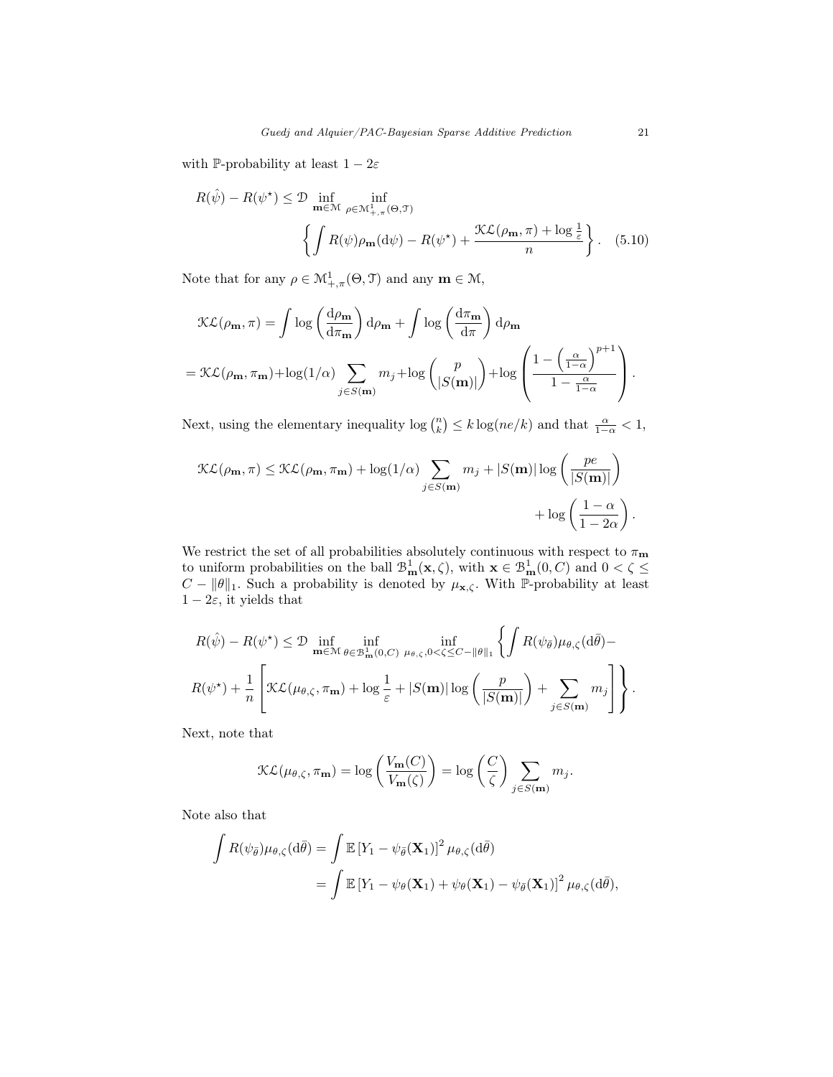with P-probability at least  $1 - 2\varepsilon$ 

<span id="page-20-0"></span>
$$
R(\hat{\psi}) - R(\psi^*) \leq \mathcal{D} \inf_{\mathbf{m} \in \mathcal{M}} \inf_{\rho \in \mathcal{M}^1_{+, \pi}(\Theta, \mathcal{T})} \left\{ \int R(\psi) \rho_{\mathbf{m}}(\mathrm{d}\psi) - R(\psi^*) + \frac{\mathcal{K} \mathcal{L}(\rho_{\mathbf{m}}, \pi) + \log \frac{1}{\varepsilon}}{n} \right\}. \quad (5.10)
$$

Note that for any  $\rho \in \mathcal{M}^1_{+,\pi}(\Theta,\mathcal{I})$  and any  $\mathbf{m} \in \mathcal{M}$ ,

$$
\mathcal{KL}(\rho_{\mathbf{m}}, \pi) = \int \log \left( \frac{d\rho_{\mathbf{m}}}{d\pi_{\mathbf{m}}} \right) d\rho_{\mathbf{m}} + \int \log \left( \frac{d\pi_{\mathbf{m}}}{d\pi} \right) d\rho_{\mathbf{m}}
$$
  
= 
$$
\mathcal{KL}(\rho_{\mathbf{m}}, \pi_{\mathbf{m}}) + \log(1/\alpha) \sum_{j \in S(\mathbf{m})} m_j + \log \left( \frac{p}{|S(\mathbf{m})|} \right) + \log \left( \frac{1 - \left( \frac{\alpha}{1 - \alpha} \right)^{p+1}}{1 - \frac{\alpha}{1 - \alpha}} \right).
$$

Next, using the elementary inequality  $\log {n \choose k} \le k \log(ne/k)$  and that  $\frac{\alpha}{1-\alpha} < 1$ ,

$$
\mathcal{KL}(\rho_{\mathbf{m}}, \pi) \leq \mathcal{KL}(\rho_{\mathbf{m}}, \pi_{\mathbf{m}}) + \log(1/\alpha) \sum_{j \in S(\mathbf{m})} m_j + |S(\mathbf{m})| \log \left( \frac{pe}{|S(\mathbf{m})|} \right) + \log \left( \frac{1 - \alpha}{1 - 2\alpha} \right).
$$

We restrict the set of all probabilities absolutely continuous with respect to  $\pi_{\mathbf{m}}$ to uniform probabilities on the ball  $\mathcal{B}^1_{\mathbf{m}}(\mathbf{x}, \zeta)$ , with  $\mathbf{x} \in \mathcal{B}^1_{\mathbf{m}}(0, C)$  and  $0 < \zeta \leq$  $C - ||\theta||_1$ . Such a probability is denoted by  $\mu_{\mathbf{x}, \zeta}$ . With P-probability at least  $1-2\varepsilon$ , it yields that

$$
R(\hat{\psi}) - R(\psi^*) \leq \mathcal{D} \inf_{\mathbf{m} \in \mathcal{M}} \inf_{\theta \in \mathcal{B}^1_{\mathbf{m}}(0,C)} \inf_{\mu_{\theta,\zeta},0 < \zeta \leq C - ||\theta||_1} \left\{ \int R(\psi_{\bar{\theta}}) \mu_{\theta,\zeta}(\mathrm{d}\bar{\theta}) - R(\psi^*) + \frac{1}{n} \left[ \mathcal{KL}(\mu_{\theta,\zeta}, \pi_{\mathbf{m}}) + \log \frac{1}{\varepsilon} + |S(\mathbf{m})| \log \left( \frac{p}{|S(\mathbf{m})|} \right) + \sum_{j \in S(\mathbf{m})} m_j \right] \right\}.
$$

Next, note that

$$
\mathcal{KL}(\mu_{\theta,\zeta}, \pi_{\mathbf{m}}) = \log \left( \frac{V_{\mathbf{m}}(C)}{V_{\mathbf{m}}(\zeta)} \right) = \log \left( \frac{C}{\zeta} \right) \sum_{j \in S(\mathbf{m})} m_j.
$$

Note also that

$$
\int R(\psi_{\bar{\theta}})\mu_{\theta,\zeta}(\mathrm{d}\bar{\theta}) = \int \mathbb{E} \left[ Y_1 - \psi_{\bar{\theta}}(\mathbf{X}_1) \right]^2 \mu_{\theta,\zeta}(\mathrm{d}\bar{\theta})
$$
  
= 
$$
\int \mathbb{E} \left[ Y_1 - \psi_{\theta}(\mathbf{X}_1) + \psi_{\theta}(\mathbf{X}_1) - \psi_{\bar{\theta}}(\mathbf{X}_1) \right]^2 \mu_{\theta,\zeta}(\mathrm{d}\bar{\theta}),
$$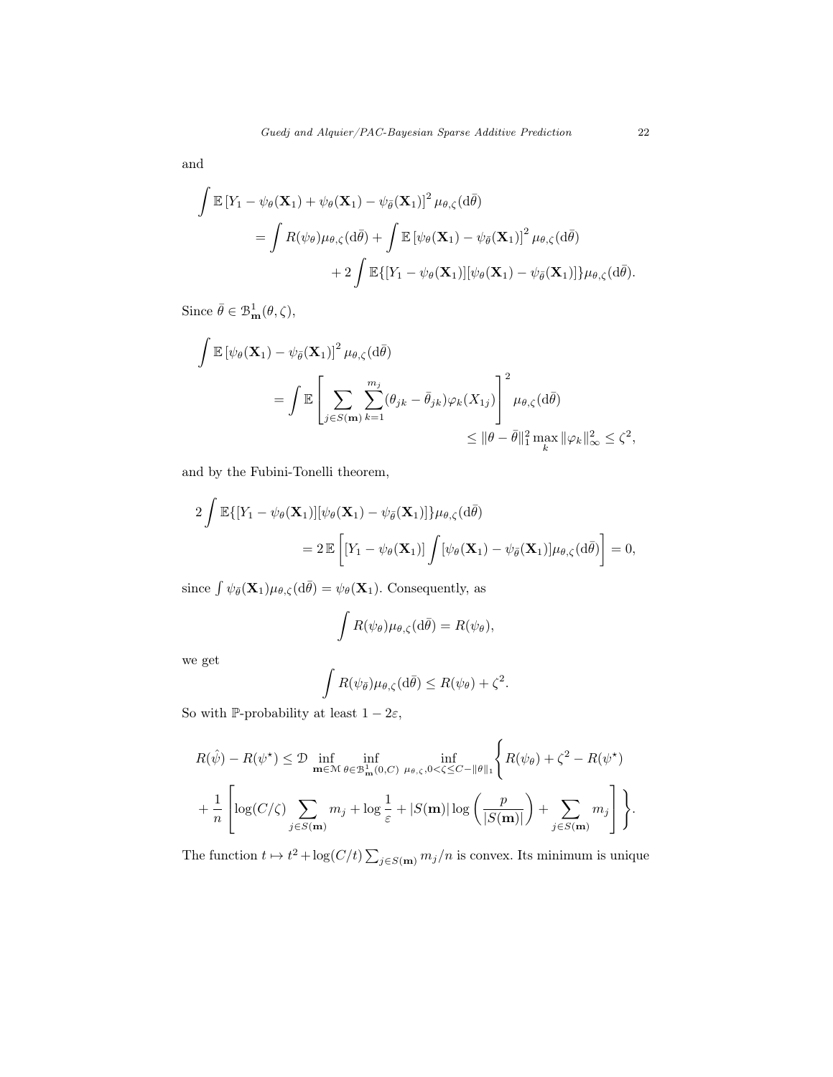and

$$
\int \mathbb{E} \left[ Y_1 - \psi_{\theta}(\mathbf{X}_1) + \psi_{\theta}(\mathbf{X}_1) - \psi_{\bar{\theta}}(\mathbf{X}_1) \right]^2 \mu_{\theta,\zeta}(\mathrm{d}\bar{\theta})
$$
\n
$$
= \int R(\psi_{\theta}) \mu_{\theta,\zeta}(\mathrm{d}\bar{\theta}) + \int \mathbb{E} \left[ \psi_{\theta}(\mathbf{X}_1) - \psi_{\bar{\theta}}(\mathbf{X}_1) \right]^2 \mu_{\theta,\zeta}(\mathrm{d}\bar{\theta})
$$
\n
$$
+ 2 \int \mathbb{E} \{ [Y_1 - \psi_{\theta}(\mathbf{X}_1)] [\psi_{\theta}(\mathbf{X}_1) - \psi_{\bar{\theta}}(\mathbf{X}_1)] \} \mu_{\theta,\zeta}(\mathrm{d}\bar{\theta}).
$$

Since  $\bar{\theta} \in \mathcal{B}^1_{\mathbf{m}}(\theta, \zeta),$ 

$$
\int \mathbb{E} \left[ \psi_{\theta}(\mathbf{X}_{1}) - \psi_{\bar{\theta}}(\mathbf{X}_{1}) \right]^{2} \mu_{\theta,\zeta}(\mathrm{d}\bar{\theta})
$$
\n
$$
= \int \mathbb{E} \left[ \sum_{j \in S(\mathbf{m})} \sum_{k=1}^{m_{j}} (\theta_{jk} - \bar{\theta}_{jk}) \varphi_{k}(X_{1j}) \right]^{2} \mu_{\theta,\zeta}(\mathrm{d}\bar{\theta})
$$
\n
$$
\leq ||\theta - \bar{\theta}||_{1}^{2} \max_{k} ||\varphi_{k}||_{\infty}^{2} \leq \zeta^{2},
$$

and by the Fubini-Tonelli theorem,

$$
2\int \mathbb{E}\{[Y_1 - \psi_{\theta}(\mathbf{X}_1)][\psi_{\theta}(\mathbf{X}_1) - \psi_{\bar{\theta}}(\mathbf{X}_1)]\}\mu_{\theta,\zeta}(d\bar{\theta})
$$
  
= 
$$
2\mathbb{E}\left[[Y_1 - \psi_{\theta}(\mathbf{X}_1)]\int [\psi_{\theta}(\mathbf{X}_1) - \psi_{\bar{\theta}}(\mathbf{X}_1)]\mu_{\theta,\zeta}(d\bar{\theta})\right] = 0,
$$

since  $\int \psi_{\bar{\theta}}(\mathbf{X}_1)\mu_{\theta,\zeta}(\mathrm{d}\bar{\theta}) = \psi_{\theta}(\mathbf{X}_1)$ . Consequently, as

$$
\int R(\psi_{\theta})\mu_{\theta,\zeta}(\mathrm{d}\bar{\theta}) = R(\psi_{\theta}),
$$

we get

$$
\int R(\psi_{\bar{\theta}})\mu_{\theta,\zeta}(\mathrm{d}\bar{\theta}) \leq R(\psi_{\theta}) + \zeta^2.
$$

So with P-probability at least  $1-2\varepsilon,$ 

$$
R(\hat{\psi}) - R(\psi^*) \leq \mathcal{D} \inf_{\mathbf{m} \in \mathcal{M}} \inf_{\theta \in \mathcal{B}^1_{\mathbf{m}}(0,C)} \inf_{\mu_{\theta,\zeta},0 < \zeta \leq C - ||\theta||_1} \left\{ R(\psi_{\theta}) + \zeta^2 - R(\psi^*) \right\}
$$

$$
+ \frac{1}{n} \left[ \log(C/\zeta) \sum_{j \in S(\mathbf{m})} m_j + \log \frac{1}{\varepsilon} + |S(\mathbf{m})| \log \left( \frac{p}{|S(\mathbf{m})|} \right) + \sum_{j \in S(\mathbf{m})} m_j \right] \right\}.
$$

The function  $t \mapsto t^2 + \log(C/t) \sum_{j \in S(m)} m_j/n$  is convex. Its minimum is unique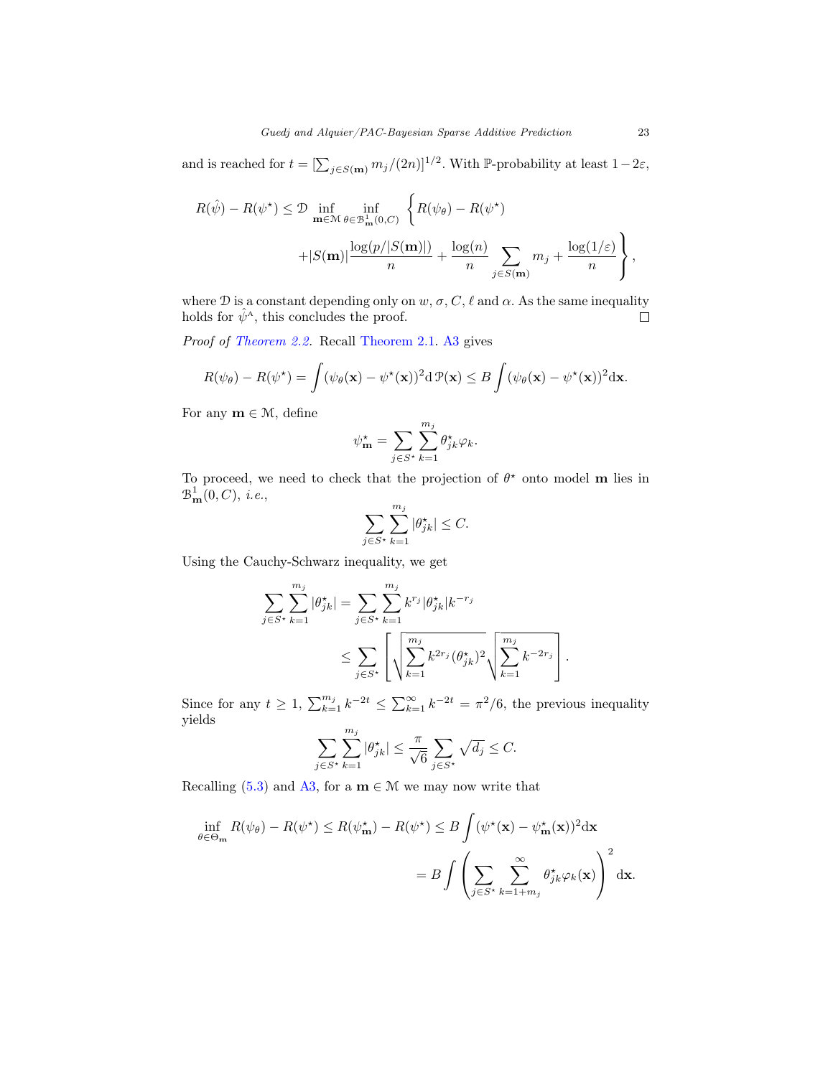and is reached for  $t = [\sum_{j \in S(m)} m_j/(2n)]^{1/2}$ . With P-probability at least  $1-2\varepsilon$ ,

$$
R(\hat{\psi}) - R(\psi^*) \leq \mathcal{D} \inf_{\mathbf{m} \in \mathcal{M}} \inf_{\theta \in \mathcal{B}^1_{\mathbf{m}}(0, C)} \left\{ R(\psi_{\theta}) - R(\psi^*) \right\}
$$

$$
+ |S(\mathbf{m})| \frac{\log(p/|S(\mathbf{m})|)}{n} + \frac{\log(n)}{n} \sum_{j \in S(\mathbf{m})} m_j + \frac{\log(1/\varepsilon)}{n} \right\},
$$

where D is a constant depending only on  $w, \sigma, C, \ell$  and  $\alpha$ . As the same inequality holds for  $\hat{\psi}^{\mathcal{A}}$ , this concludes the proof.  $\Box$ 

Proof of [Theorem 2.2.](#page-6-1) Recall [Theorem 2.1.](#page-5-2) [A3](#page-6-0) gives

$$
R(\psi_{\theta}) - R(\psi^{\star}) = \int (\psi_{\theta}(\mathbf{x}) - \psi^{\star}(\mathbf{x}))^{2} d\mathcal{P}(\mathbf{x}) \leq B \int (\psi_{\theta}(\mathbf{x}) - \psi^{\star}(\mathbf{x}))^{2} d\mathbf{x}.
$$

For any  $m \in \mathcal{M}$ , define

$$
\psi_{\mathbf{m}}^{\star} = \sum_{j \in S^{\star}} \sum_{k=1}^{m_j} \theta_{jk}^{\star} \varphi_k.
$$

To proceed, we need to check that the projection of  $\theta^*$  onto model m lies in  $\mathcal{B}_{\mathbf{m}}^1(0,C),$  i.e.,

$$
\sum_{j\in S^\star}\sum_{k=1}^{m_j}|\theta^\star_{jk}|\leq C.
$$

Using the Cauchy-Schwarz inequality, we get

$$
\sum_{j \in S^{\star}} \sum_{k=1}^{m_j} |\theta_{jk}^{\star}| = \sum_{j \in S^{\star}} \sum_{k=1}^{m_j} k^{r_j} |\theta_{jk}^{\star}| k^{-r_j} \le \sum_{j \in S^{\star}} \left[ \sqrt{\sum_{k=1}^{m_j} k^{2r_j} (\theta_{jk}^{\star})^2} \sqrt{\sum_{k=1}^{m_j} k^{-2r_j}} \right].
$$

Since for any  $t \geq 1$ ,  $\sum_{k=1}^{m_j} k^{-2t} \leq \sum_{k=1}^{\infty} k^{-2t} = \pi^2/6$ , the previous inequality yields

$$
\sum_{j \in S^*} \sum_{k=1}^{m_j} |\theta_{jk}^{\star}| \le \frac{\pi}{\sqrt{6}} \sum_{j \in S^*} \sqrt{d_j} \le C.
$$

Recalling [\(5.3\)](#page-14-1) and [A3,](#page-6-0) for a  $\mathbf{m} \in \mathcal{M}$  we may now write that

$$
\inf_{\theta \in \Theta_{\mathbf{m}}} R(\psi_{\theta}) - R(\psi^{\star}) \le R(\psi_{\mathbf{m}}^{\star}) - R(\psi^{\star}) \le B \int (\psi^{\star}(\mathbf{x}) - \psi_{\mathbf{m}}^{\star}(\mathbf{x}))^{2} d\mathbf{x}
$$

$$
= B \int \left( \sum_{j \in S^{\star}} \sum_{k=1+m_{j}}^{\infty} \theta_{jk}^{\star} \varphi_{k}(\mathbf{x}) \right)^{2} d\mathbf{x}.
$$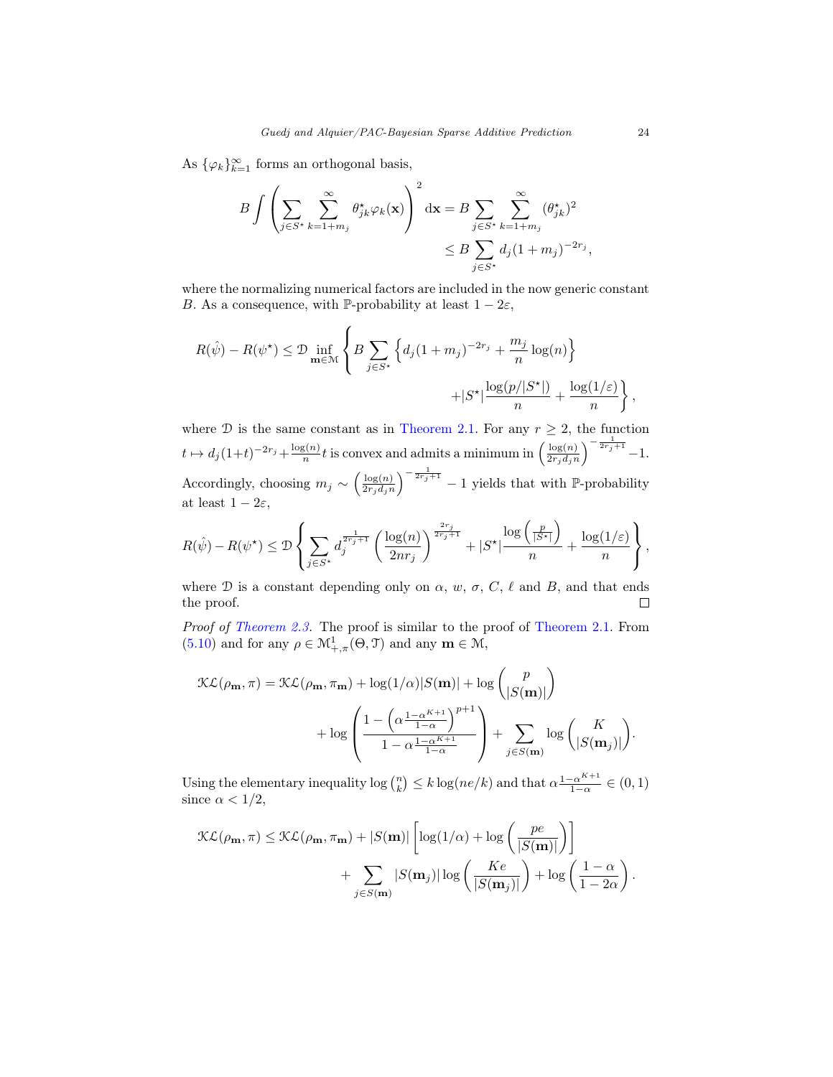As  $\{\varphi_k\}_{k=1}^{\infty}$  forms an orthogonal basis,

$$
B\int \left(\sum_{j\in S^{\star}}\sum_{k=1+m_j}^{\infty}\theta_{jk}^{\star}\varphi_k(\mathbf{x})\right)^2 d\mathbf{x} = B\sum_{j\in S^{\star}}\sum_{k=1+m_j}^{\infty}(\theta_{jk}^{\star})^2
$$
  

$$
\leq B\sum_{j\in S^{\star}}d_j(1+m_j)^{-2r_j},
$$

where the normalizing numerical factors are included in the now generic constant B. As a consequence, with P-probability at least  $1 - 2\varepsilon$ ,

$$
R(\hat{\psi}) - R(\psi^*) \leq \mathcal{D} \inf_{\mathbf{m} \in \mathcal{M}} \left\{ B \sum_{j \in S^*} \left\{ d_j (1 + m_j)^{-2r_j} + \frac{m_j}{n} \log(n) \right\} + |S^*| \frac{\log(p/|S^*|)}{n} + \frac{\log(1/\varepsilon)}{n} \right\}
$$

where  $D$  is the same constant as in [Theorem 2.1.](#page-5-2) For any  $r \geq 2$ , the function  $t \mapsto d_j (1+t)^{-2r_j} + \frac{\log(n)}{n}$  $\frac{g(n)}{n}t$  is convex and admits a minimum in  $\left(\frac{\log(n)}{2r_j d_j n}\right)$  $\frac{\log(n)}{2r_j d_j n}$  $\Big)^{-\frac{1}{2r_j+1}} - 1.$ Accordingly, choosing  $m_j \sim \left(\frac{\log(n)}{2r_s d_s n}\right)$  $\frac{\log(n)}{2r_jd_jn}$  $\Big)^{-\frac{1}{2r_j+1}}-1$  yields that with P-probability at least  $1 - 2\varepsilon$ ,

$$
R(\hat{\psi}) - R(\psi^{\star}) \leq \mathcal{D} \left\{ \sum_{j \in S^{\star}} d_j^{\frac{1}{2r_j+1}} \left( \frac{\log(n)}{2nr_j} \right)^{\frac{2r_j}{2r_j+1}} + |S^{\star}| \frac{\log\left(\frac{p}{|S^{\star}|} \right)}{n} + \frac{\log(1/\varepsilon)}{n} \right\},
$$

where D is a constant depending only on  $\alpha$ ,  $w$ ,  $\sigma$ ,  $C$ ,  $\ell$  and B, and that ends the proof.  $\Box$ 

Proof of [Theorem 2.3.](#page-7-0) The proof is similar to the proof of [Theorem 2.1.](#page-5-2) From [\(5.10\)](#page-20-0) and for any  $\rho \in \mathcal{M}^1_{+,\pi}(\Theta,\mathcal{I})$  and any  $\mathbf{m} \in \mathcal{M}$ ,

$$
\mathcal{KL}(\rho_{\mathbf{m}}, \pi) = \mathcal{KL}(\rho_{\mathbf{m}}, \pi_{\mathbf{m}}) + \log(1/\alpha)|S(\mathbf{m})| + \log\binom{p}{|S(\mathbf{m})|} + \log\left(\frac{1 - \left(\alpha \frac{1 - \alpha^{K+1}}{1 - \alpha}\right)^{p+1}}{1 - \alpha \frac{1 - \alpha^{K+1}}{1 - \alpha}}\right) + \sum_{j \in S(\mathbf{m})} \log\binom{K}{|S(\mathbf{m}_j)|}
$$

Using the elementary inequality  $\log {n \choose k} \le k \log(ne/k)$  and that  $\alpha \frac{1-\alpha^{K+1}}{1-\alpha}$  $\frac{-\alpha^{n+1}}{1-\alpha} \in (0,1)$ since  $\alpha < 1/2$ ,

$$
\mathcal{KL}(\rho_{\mathbf{m}}, \pi) \leq \mathcal{KL}(\rho_{\mathbf{m}}, \pi_{\mathbf{m}}) + |S(\mathbf{m})| \left[ \log(1/\alpha) + \log \left( \frac{pe}{|S(\mathbf{m})|} \right) \right] + \sum_{j \in S(\mathbf{m})} |S(\mathbf{m}_j)| \log \left( \frac{Ke}{|S(\mathbf{m}_j)|} \right) + \log \left( \frac{1 - \alpha}{1 - 2\alpha} \right).
$$

,

.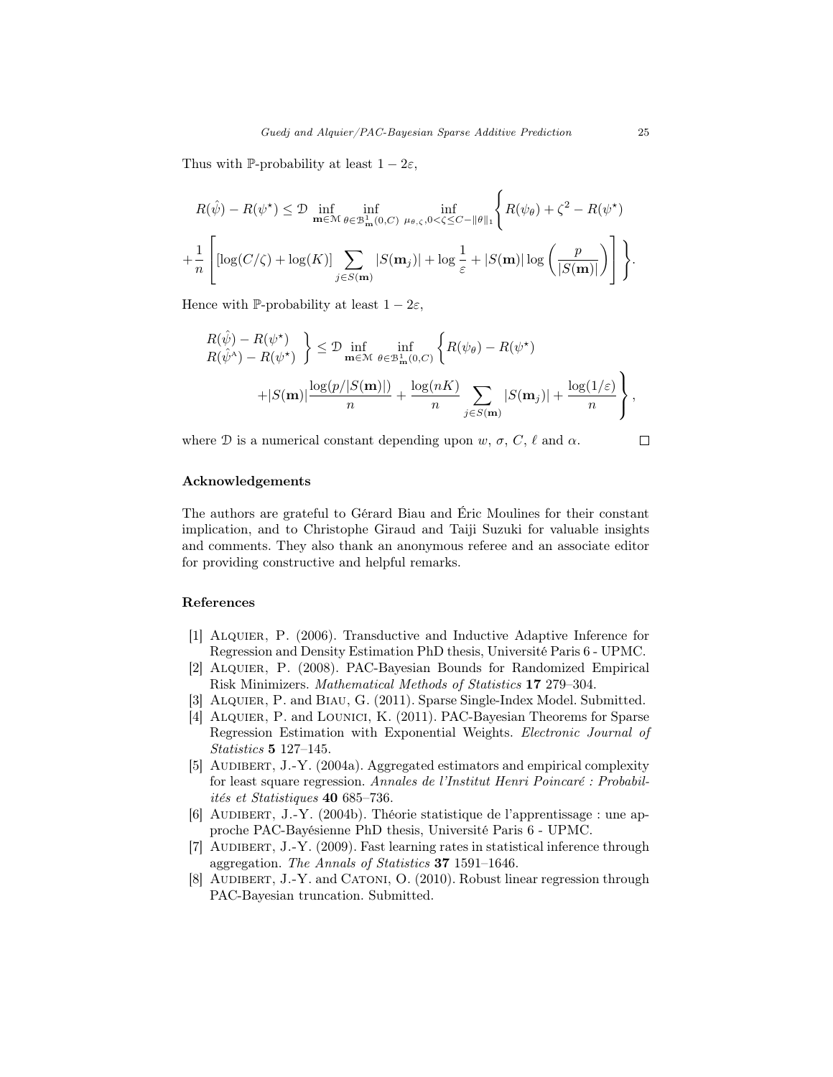Thus with P-probability at least  $1 - 2\varepsilon$ ,

$$
R(\hat{\psi}) - R(\psi^*) \leq \mathcal{D} \inf_{\mathbf{m} \in \mathcal{M}} \inf_{\theta \in \mathcal{B}^{\perp}_{\mathbf{m}}(0,C)} \inf_{\mu_{\theta,\zeta},0 < \zeta \leq C - ||\theta||_1} \left\{ R(\psi_{\theta}) + \zeta^2 - R(\psi^*) \right\}
$$

$$
+ \frac{1}{n} \left[ \left[ \log(C/\zeta) + \log(K) \right] \sum_{j \in S(\mathbf{m})} |S(\mathbf{m}_j)| + \log \frac{1}{\varepsilon} + |S(\mathbf{m})| \log \left( \frac{p}{|S(\mathbf{m})|} \right) \right] \right\}.
$$

Hence with P-probability at least  $1 - 2\varepsilon$ ,

$$
\begin{aligned} R(\hat{\psi}) - R(\psi^*) \\ R(\hat{\psi}^{\wedge}) - R(\psi^*) \end{aligned} \Big\} &\leq \mathcal{D} \inf_{\mathbf{m} \in \mathcal{M}} \inf_{\theta \in \mathcal{B}^{\perp}_{\mathbf{m}}(0, C)} \left\{ R(\psi_{\theta}) - R(\psi^*) \\ + |S(\mathbf{m})| \frac{\log(p/|S(\mathbf{m})|)}{n} + \frac{\log(nK)}{n} \sum_{j \in S(\mathbf{m})} |S(\mathbf{m}_j)| + \frac{\log(1/\varepsilon)}{n} \right\},
$$

where  $\mathcal D$  is a numerical constant depending upon  $w, \sigma, C, \ell$  and  $\alpha$ .

 $\Box$ 

# <span id="page-24-0"></span>Acknowledgements

The authors are grateful to Gérard Biau and Éric Moulines for their constant implication, and to Christophe Giraud and Taiji Suzuki for valuable insights and comments. They also thank an anonymous referee and an associate editor for providing constructive and helpful remarks.

#### <span id="page-24-1"></span>References

- <span id="page-24-4"></span>[1] Alquier, P. (2006). Transductive and Inductive Adaptive Inference for Regression and Density Estimation PhD thesis, Université Paris 6 - UPMC.
- <span id="page-24-5"></span>[2] Alquier, P. (2008). PAC-Bayesian Bounds for Randomized Empirical Risk Minimizers. Mathematical Methods of Statistics 17 279–304.
- <span id="page-24-9"></span>[3] Alquier, P. and Biau, G. (2011). Sparse Single-Index Model. Submitted.
- <span id="page-24-7"></span>[4] ALQUIER, P. and LOUNICI, K. (2011). PAC-Bayesian Theorems for Sparse Regression Estimation with Exponential Weights. Electronic Journal of Statistics 5 127–145.
- <span id="page-24-2"></span>[5] AUDIBERT, J.-Y. (2004a). Aggregated estimators and empirical complexity for least square regression. Annales de l'Institut Henri Poincaré : Probabilités et Statistiques 40 685–736.
- <span id="page-24-3"></span>[6] AUDIBERT, J.-Y. (2004b). Théorie statistique de l'apprentissage : une approche PAC-Bayésienne PhD thesis, Université Paris 6 - UPMC.
- <span id="page-24-8"></span>[7] AUDIBERT, J.-Y. (2009). Fast learning rates in statistical inference through aggregation. The Annals of Statistics 37 1591–1646.
- <span id="page-24-6"></span>[8] AUDIBERT, J.-Y. and CATONI, O. (2010). Robust linear regression through PAC-Bayesian truncation. Submitted.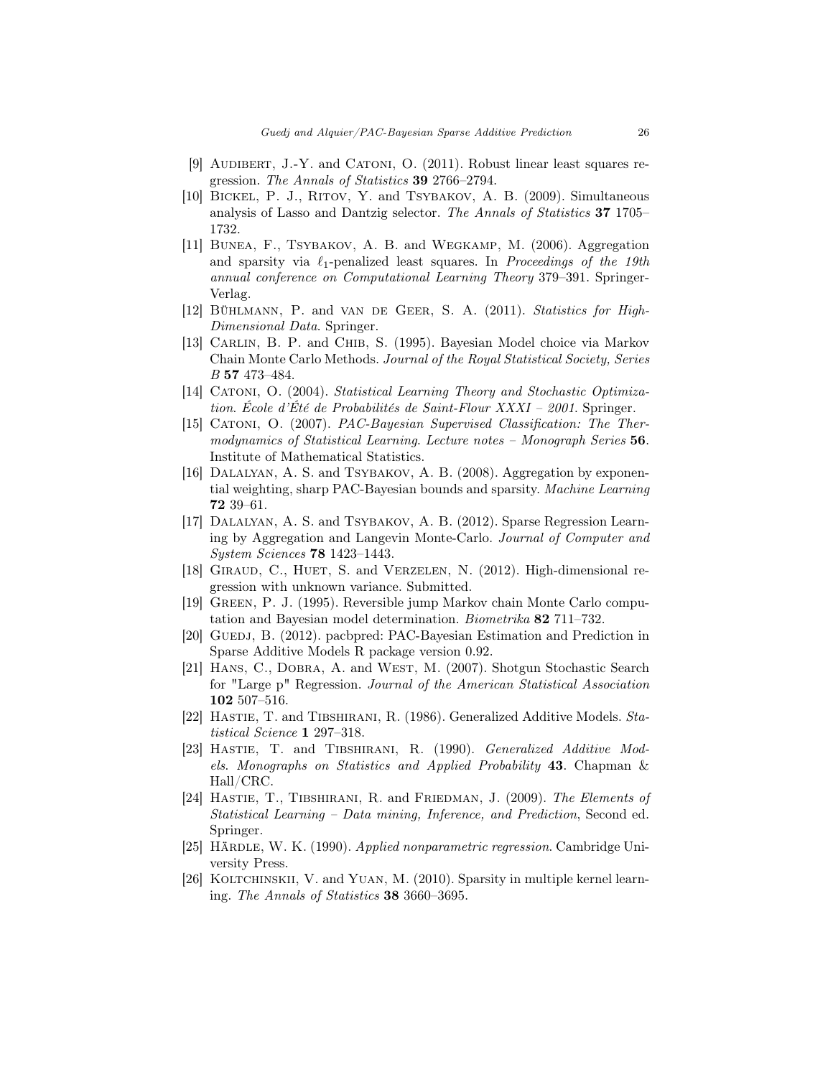- <span id="page-25-11"></span>[9] AUDIBERT, J.-Y. and CATONI, O. (2011). Robust linear least squares regression. The Annals of Statistics 39 2766–2794.
- <span id="page-25-3"></span>[10] Bickel, P. J., Ritov, Y. and Tsybakov, A. B. (2009). Simultaneous analysis of Lasso and Dantzig selector. The Annals of Statistics 37 1705– 1732.
- <span id="page-25-2"></span>[11] BUNEA, F., TSYBAKOV, A. B. and WEGKAMP, M. (2006). Aggregation and sparsity via  $\ell_1$ -penalized least squares. In *Proceedings of the 19th* annual conference on Computational Learning Theory 379–391. Springer-Verlag.
- <span id="page-25-1"></span>[12] Bühlmann, P. and van de Geer, S. A. (2011). Statistics for High-Dimensional Data. Springer.
- <span id="page-25-15"></span>[13] CARLIN, B. P. and CHIB, S. (1995). Bayesian Model choice via Markov Chain Monte Carlo Methods. Journal of the Royal Statistical Society, Series B 57 473–484.
- <span id="page-25-9"></span>[14] Catoni, O. (2004). Statistical Learning Theory and Stochastic Optimization. École d'Été de Probabilités de Saint-Flour XXXI – 2001. Springer.
- <span id="page-25-10"></span>[15] Catoni, O. (2007). PAC-Bayesian Supervised Classification: The Thermodynamics of Statistical Learning. Lecture notes – Monograph Series 56. Institute of Mathematical Statistics.
- <span id="page-25-12"></span>[16] Dalalyan, A. S. and Tsybakov, A. B. (2008). Aggregation by exponential weighting, sharp PAC-Bayesian bounds and sparsity. Machine Learning 72 39–61.
- <span id="page-25-13"></span>[17] DALALYAN, A. S. and TSYBAKOV, A. B. (2012). Sparse Regression Learning by Aggregation and Langevin Monte-Carlo. Journal of Computer and System Sciences 78 1423–1443.
- <span id="page-25-7"></span>[18] Giraud, C., Huet, S. and Verzelen, N. (2012). High-dimensional regression with unknown variance. Submitted.
- <span id="page-25-14"></span>[19] Green, P. J. (1995). Reversible jump Markov chain Monte Carlo computation and Bayesian model determination. Biometrika 82 711–732.
- <span id="page-25-17"></span>[20] GUEDJ, B. (2012). pacbpred: PAC-Bayesian Estimation and Prediction in Sparse Additive Models R package version 0.92.
- <span id="page-25-16"></span>[21] Hans, C., Dobra, A. and West, M. (2007). Shotgun Stochastic Search for "Large p" Regression. Journal of the American Statistical Association 102 507–516.
- <span id="page-25-4"></span>[22] HASTIE, T. and TIBSHIRANI, R. (1986). Generalized Additive Models. Statistical Science 1 297–318.
- <span id="page-25-5"></span>[23] Hastie, T. and Tibshirani, R. (1990). Generalized Additive Models. Monographs on Statistics and Applied Probability 43. Chapman & Hall/CRC.
- <span id="page-25-0"></span>[24] HASTIE, T., TIBSHIRANI, R. and FRIEDMAN, J. (2009). The Elements of Statistical Learning – Data mining, Inference, and Prediction, Second ed. Springer.
- <span id="page-25-6"></span>[25] HÄRDLE, W. K. (1990). Applied nonparametric regression. Cambridge University Press.
- <span id="page-25-8"></span>[26] KOLTCHINSKII, V. and YUAN, M. (2010). Sparsity in multiple kernel learning. The Annals of Statistics 38 3660–3695.